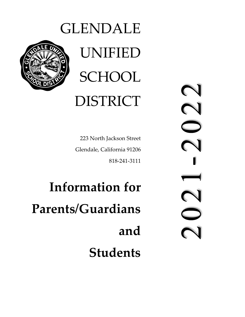# GLENDALE UNIFIED **SCHOOL**

# DISTRICT

223 North Jackson Street Glendale, California 91206 818‐241‐3111

**Information for Parents/Guardians and Students**  $\Omega$  $\overline{\mathbf{C}}$  $\overline{\phantom{a}}$  $\sum$ 

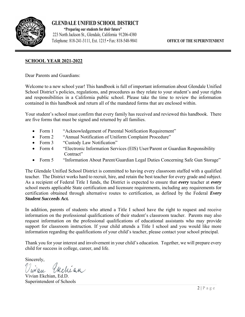

**GLENDALE UNIFIED SCHOOL DISTRICT** 

223 North Jackson St., Glendale, California 91206-4380  **"Preparing our students for** *their* **future"** Telephone: 818-241-3111, Ext. 1215 • Fax: 818-548-9041 **OFFICE OF THE SUPERINTENDENT**

### **SCHOOL YEAR 2021-2022**

Dear Parents and Guardians:

Welcome to a new school year! This handbook is full of important information about Glendale Unified School District's policies, regulations, and procedures as they relate to your student's and your rights and responsibilities in a California public school. Please take the time to review the information contained in this handbook and return all of the mandated forms that are enclosed within.

Your student's school must confirm that every family has received and reviewed this handbook. There are five forms that must be signed and returned by all families.

- Form 1 "Acknowledgement of Parental Notification Requirement"
- Form 2 "Annual Notification of Uniform Complaint Procedure"
- Form 3 "Custody Law Notification"
- Form 4 "Electronic Information Services (EIS) User/Parent or Guardian Responsibility Contract"
- Form 5 "Information About Parent/Guardian Legal Duties Concerning Safe Gun Storage"

The Glendale Unified School District is committed to having every classroom staffed with a qualified teacher. The District works hard to recruit, hire, and retain the best teacher for every grade and subject. As a recipient of Federal Title I funds, the District is expected to ensure that *every* teacher at *every* school meets applicable State certification and licensure requirements, including any requirements for certification obtained through alternative routes to certification, as defined by the Federal *Every Student Succeeds Act.* 

In addition, parents of students who attend a Title I school have the right to request and receive information on the professional qualifications of their student's classroom teacher. Parents may also request information on the professional qualifications of educational assistants who may provide support for classroom instruction. If your child attends a Title I school and you would like more information regarding the qualifications of your child's teacher, please contact your school principal.

Thank you for your interest and involvement in your child's education. Together, we will prepare every child for success in college, career, and life.

Sincerely,

Vivian Ekchian, Ed.D. Superintendent of Schools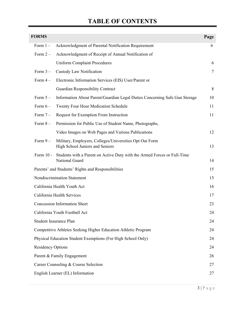# **TABLE OF CONTENTS**

| <b>FORMS</b>             |                                                                                            | Page   |
|--------------------------|--------------------------------------------------------------------------------------------|--------|
| Form $1-$                | Acknowledgment of Parental Notification Requirement                                        | 6      |
| Form $2-$                | Acknowledgment of Receipt of Annual Notification of                                        |        |
|                          | <b>Uniform Complaint Procedures</b>                                                        | 6      |
| Form $3-$                | Custody Law Notification                                                                   | $\tau$ |
| Form $4-$                | Electronic Information Services (EIS) User/Parent or                                       |        |
|                          | <b>Guardian Responsibility Contract</b>                                                    | 8      |
| Form $5-$                | Information About Parent/Guardian Legal Duties Concerning Safe Gun Storage                 | 10     |
| Form $6-$                | Twenty Four Hour Medication Schedule                                                       | 11     |
| Form $7-$                | Request for Exemption From Instruction                                                     | 11     |
| Form $8-$                | Permission for Public Use of Student Name, Photographs,                                    |        |
|                          | Video Images on Web Pages and Various Publications                                         | 12     |
| Form $9-$                | Military, Employers, Colleges/Universities Opt Out Form<br>High School Juniors and Seniors | 13     |
| Form 10 -                | Students with a Parent on Active Duty with the Armed Forces or Full-Time<br>National Guard | 14     |
|                          | Parents' and Students' Rights and Responsibilities                                         | 15     |
|                          | Nondiscrimination Statement                                                                | 15     |
|                          | California Health Youth Act                                                                | 16     |
|                          | California Health Services                                                                 | 17     |
|                          | <b>Concussion Information Sheet</b>                                                        | 23     |
|                          | California Youth Football Act                                                              | 24     |
|                          | Student Insurance Plan                                                                     | 24     |
|                          | Competitive Athletes Seeking Higher Education Athletic Program                             | 24     |
|                          | Physical Education Student Exemptions (For High School Only)                               | 24     |
| <b>Residency Options</b> |                                                                                            | 24     |
|                          | Parent & Family Engagement                                                                 | 26     |
|                          | Career Counseling & Course Selection                                                       | 27     |
|                          | English Learner (EL) Information                                                           | 27     |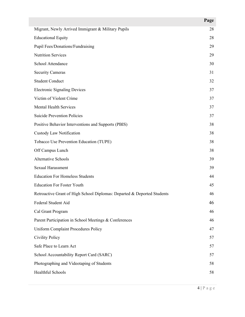|                                                                         | Page |
|-------------------------------------------------------------------------|------|
| Migrant, Newly Arrived Immigrant & Military Pupils                      | 28   |
| <b>Educational Equity</b>                                               | 28   |
| Pupil Fees/Donations/Fundraising                                        | 29   |
| <b>Nutrition Services</b>                                               | 29   |
| School Attendance                                                       | 30   |
| <b>Security Cameras</b>                                                 | 31   |
| <b>Student Conduct</b>                                                  | 32   |
| <b>Electronic Signaling Devices</b>                                     | 37   |
| Victim of Violent Crime                                                 | 37   |
| <b>Mental Health Services</b>                                           | 37   |
| <b>Suicide Prevention Policies</b>                                      | 37   |
| Positive Behavior Interventions and Supports (PBIS)                     | 38   |
| Custody Law Notification                                                | 38   |
| Tobacco Use Prevention Education (TUPE)                                 | 38   |
| Off Campus Lunch                                                        | 38   |
| <b>Alternative Schools</b>                                              | 39   |
| Sexual Harassment                                                       | 39   |
| <b>Education For Homeless Students</b>                                  | 44   |
| <b>Education For Foster Youth</b>                                       | 45   |
| Retroactive Grant of High School Diplomas: Departed & Deported Students | 46   |
| Federal Student Aid                                                     | 46   |
| Cal Grant Program                                                       | 46   |
| Parent Participation in School Meetings & Conferences                   | 46   |
| <b>Uniform Complaint Procedures Policy</b>                              | 47   |
| <b>Civility Policy</b>                                                  | 57   |
| Safe Place to Learn Act                                                 | 57   |
| School Accountability Report Card (SARC)                                | 57   |
| Photographing and Videotaping of Students                               | 58   |
| Healthful Schools                                                       | 58   |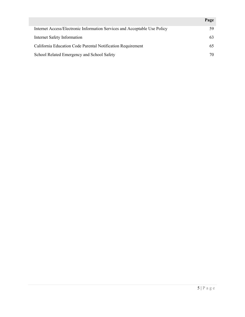|                                                                           | Page |
|---------------------------------------------------------------------------|------|
| Internet Access/Electronic Information Services and Acceptable Use Policy | 59   |
| Internet Safety Information                                               | 63   |
| California Education Code Parental Notification Requirement               | 65   |
| School Related Emergency and School Safety                                | 70   |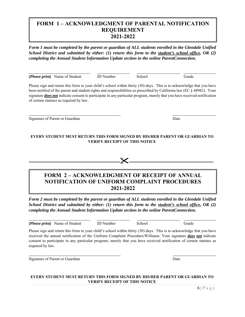### **FORM 1 – ACKNOWLEDGMENT OF PARENTAL NOTIFICATION REQUIREMENT 2021-2022**

*Form 1 must be completed by the parent or guardian of ALL students enrolled in the Glendale Unified School District and submitted by either: (1) return this form to the student's school office, OR (2) completing the Annual Student Information Update section in the online ParentConnection.* 

*(Please print)* Name of Student ID Number School Grade

l

l

l

l

Please sign and return this form to your child's school within thirty (30) days. This is to acknowledge that you have been notified of the parent and student rights and responsibilities as prescribed by California law (EC § 48982). Your signature *does not* indicate consent to participate in any particular program, merely that you have received notification of certain statutes as required by law.

Signature of Parent or Guardian Date of Parent or Guardian Date

#### **EVERY STUDENT MUST RETURN THIS FORM SIGNED BY HIS/HER PARENT OR GUARDIAN TO VERIFY RECEIPT OF THIS NOTICE**

**=============================================================================** 

**FORM 2 – ACKNOWLEDGMENT OF RECEIPT OF ANNUAL NOTIFICATION OF UNIFORM COMPLAINT PROCEDURES 2021-2022** 

*Form 2 must be completed by the parent or guardian of ALL students enrolled in the Glendale Unified School District and submitted by either: (1) return this form to the student's school office, OR (2) completing the Annual Student Information Update section in the online ParentConnection.* 

*(Please print)* Name of Student ID Number School Grade

Please sign and return this form to your child's school within thirty (30) days. This is to acknowledge that you have received the annual notification of the Uniform Complaint Procedure/Williams. Your signature *does not* indicate consent to participate in any particular program, merely that you have received notification of certain statutes as required by law.

Signature of Parent or Guardian Date News, 2008. Date News, 2008. Date

#### **EVERY STUDENT MUST RETURN THIS FORM SIGNED BY HIS/HER PARENT OR GUARDIAN TO VERIFY RECEIPT OF THIS NOTICE**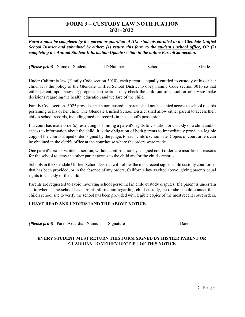# **FORM 3 – CUSTODY LAW NOTIFICATION 2021-2022**

*Form 3 must be completed by the parent or guardian of ALL students enrolled in the Glendale Unified School District and submitted by either: (1) return this form to the student's school office, OR (2) completing the Annual Student Information Update section in the online ParentConnection.* 

l *(Please print)* Name of Student ID Number School Grade

Under California law (Family Code section 3010), each parent is equally entitled to custody of his or her child. It is the policy of the Glendale Unified School District to obey Family Code section 3010 so that either parent, upon showing proper identification, may check the child out of school, or otherwise make decisions regarding the health, education and welfare of the child.

Family Code sections 3025 provides that a non-custodial parent shall not be denied access to school records pertaining to his or her child. The Glendale Unified School District shall allow either parent to access their child's school records, including medical records in the school's possession.

If a court has made order(s) restricting or limiting a parent's rights to visitation or custody of a child and/or access to information about the child, it is the obligation of both parents to immediately provide a legible copy of the court stamped order, signed by the judge, to each child's school site. Copies of court orders can be obtained in the clerk's office at the courthouse where the orders were made.

One parent's oral or written assertion, without confirmation by a signed court order, are insufficient reasons for the school to deny the other parent access to the child and/or the child's records.

Schools in the Glendale Unified School District will follow the most recent signed child custody court order that has been provided, or in the absence of any orders, California law as cited above, giving parents equal rights to custody of the child.

Parents are requested to avoid involving school personnel in child custody disputes. If a parent is uncertain as to whether the school has current information regarding child custody, he or she should contact their child's school site to verify the school has been provided with legible copies of the most recent court orders.

#### **I HAVE READ AND UNDERSTAND THE ABOVE NOTICE.**

*(Please print)* Parent/Guardian Name*)* Signature Date

l

#### **EVERY STUDENT MUST RETURN THIS FORM SIGNED BY HIS/HER PARENT OR GUARDIAN TO VERIFY RECEIPT OF THIS NOTICE**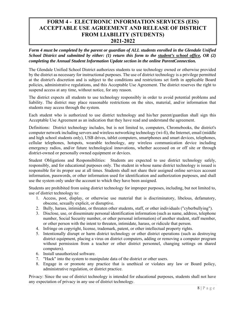# **FORM 4 - ELECTRONIC INFORMATION SERVICES (EIS) ACCEPTABLE USE AGREEMENT AND RELEASE OF DISTRICT FROM LIABILITY (STUDENTS) 2021-2022**

*Form 4 must be completed by the parent or guardian of ALL students enrolled in the Glendale Unified School District and submitted by either: (1) return this form to the student's school office, OR (2) completing the Annual Student Information Update section in the online ParentConnection.* 

The Glendale Unified School District authorizes students to use technology owned or otherwise provided by the district as necessary for instructional purposes. The use of district technology is a privilege permitted at the district's discretion and is subject to the conditions and restrictions set forth in applicable Board policies, administrative regulations, and this Acceptable Use Agreement. The district reserves the right to suspend access at any time, without notice, for any reason.

The district expects all students to use technology responsibly in order to avoid potential problems and liability. The district may place reasonable restrictions on the sites, material, and/or information that students may access through the system.

Each student who is authorized to use district technology and his/her parent/guardian shall sign this Acceptable Use Agreement as an indication that they have read and understand the agreement.

Definitions: District technology includes, but is not limited to, computers, Chromebooks, the district's computer network including servers and wireless networking technology (wi-fi), the Internet, email (middle and high school students only), USB drives, tablet computers, smartphones and smart devices, telephones, cellular telephones, hotspots, wearable technology, any wireless communication device including emergency radios, and/or future technological innovations, whether accessed on or off site or through district-owned or personally owned equipment or devices.

Student Obligations and Responsibilities: Students are expected to use district technology safely, responsibly, and for educational purposes only. The student in whose name district technology is issued is responsible for its proper use at all times. Students shall not share their assigned online services account information, passwords, or other information used for identification and authorization purposes, and shall use the system only under the account to which they have been assigned.

Students are prohibited from using district technology for improper purposes, including, but not limited to, use of district technology to:

- 1. Access, post, display, or otherwise use material that is discriminatory, libelous, defamatory, obscene, sexually explicit, or disruptive.
- 2. Bully, harass, intimidate, or threaten other students, staff, or other individuals ("cyberbullying").
- 3. Disclose, use, or disseminate personal identification information (such as name, address, telephone number, Social Security number, or other personal information) of another student, staff member, or other person with the intent to threaten, intimidate, harass, or ridicule that person.
- 4. Infringe on copyright, license, trademark, patent, or other intellectual property rights.
- 5. Intentionally disrupt or harm district technology or other district operations (such as destroying district equipment, placing a virus on district computers, adding or removing a computer program without permission from a teacher or other district personnel, changing settings on shared computers).
- 6. Install unauthorized software.
- 7. "Hack" into the system to manipulate data of the district or other users.
- 8. Engage in or promote any practice that is unethical or violates any law or Board policy, administrative regulation, or district practice.

Privacy: Since the use of district technology is intended for educational purposes, students shall not have any expectation of privacy in any use of district technology.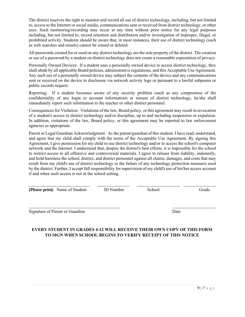The district reserves the right to monitor and record all use of district technology, including, but not limited to, access to the Internet or social media, communications sent or received from district technology, or other uses. Such monitoring/recording may occur at any time without prior notice for any legal purposes including, but not limited to, record retention and distribution and/or investigation of improper, illegal, or prohibited activity. Students should be aware that, in most instances, their use of district technology (such as web searches and emails) cannot be erased or deleted.

All passwords created for or used on any district technology are the sole property of the district. The creation or use of a password by a student on district technology does not create a reasonable expectation of privacy.

Personally Owned Devices: If a student uses a personally owned device to access district technology, they shall abide by all applicable Board policies, administrative regulations, and this Acceptable Use Agreement. Any such use of a personally owned device may subject the contents of the device and any communications sent or received on the device to disclosure via network activity logs or pursuant to a lawful subpoena or public records request.

Reporting: If a student becomes aware of any security problem (such as any compromise of the confidentiality of any login or account information) or misuse of district technology, he/she shall immediately report such information to the teacher or other district personnel.

Consequences for Violation: Violations of the law, Board policy, or this agreement may result in revocation of a student's access to district technology and/or discipline, up to and including suspension or expulsion. In addition, violations of the law, Board policy, or this agreement may be reported to law enforcement agencies as appropriate.

Parent or Legal Guardian Acknowledgment: As the parent/guardian of this student, I have read, understand, and agree that my child shall comply with the terms of the Acceptable Use Agreement. By signing this Agreement, I give permission for my child to use district technology and/or to access the school's computer network and the Internet. I understand that, despite the district's best efforts, it is impossible for the school to restrict access to all offensive and controversial materials. I agree to release from liability, indemnify, and hold harmless the school, district, and district personnel against all claims, damages, and costs that may result from my child's use of district technology or the failure of any technology protection measures used by the district. Further, I accept full responsibility for supervision of my child's use of his/her access account if and when such access is not in the school setting.

*(Please print)* Name of Student ID Number School Grade

l

l

Signature of Parent or Guardian Date

#### **EVERY STUDENT IN GRADES 4-12 WILL RECEIVE THEIR OWN COPY OF THIS FORM TO SIGN WHEN SCHOOL BEGINS TO VERIFY RECEIPT OF THIS NOTICE**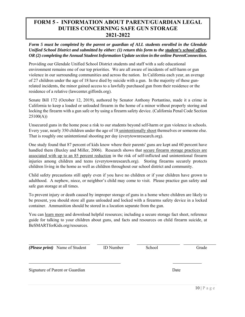# **FORM 5 - INFORMATION ABOUT PARENT/GUARDIAN LEGAL DUTIES CONCERNING SAFE GUN STORAGE 2021-2022**

*Form 5 must be completed by the parent or guardian of ALL students enrolled in the Glendale Unified School District and submitted by either: (1) return this form to the student's school office, OR (2) completing the Annual Student Information Update section in the online ParentConnection.* 

Providing our Glendale Unified School District students and staff with a safe educational environment remains one of our top priorities. We are all aware of incidents of self-harm or gun violence in our surrounding communities and across the nation. In California each year, an average of 27 children under the age of 18 have died by suicide with a gun. In the majority of these gunrelated incidents, the minor gained access to a lawfully purchased gun from their residence or the residence of a relative (lawcenter.giffords.org).

Senate Bill 172 (October 12, 2019), authored by Senator Anthony Portantino, made it a crime in California to keep a loaded or unloaded firearm in the home of a minor without properly storing and locking the firearm with a gun safe or by using a firearm safety device. (California Penal Code Section 25100(A))

Unsecured guns in the home pose a risk to our students beyond self-harm or gun violence in schools. Every year, nearly 350 children under the age of 18 unintentionally shoot themselves or someone else. That is roughly one unintentional shooting per day (everytownresearch.org).

One study found that 87 percent of kids know where their parents' guns are kept and 60 percent have handled them (Baxley and Miller, 2006). Research shows that secure firearm storage practices are associated with up to an 85 percent reduction in the risk of self-inflicted and unintentional firearm injuries among children and teens (everytownresearch.org). Storing firearms securely protects children living in the home as well as children throughout our school district and community.

Child safety precautions still apply even if you have no children or if your children have grown to adulthood. A nephew, niece, or neighbor's child may come to visit. Please practice gun safety and safe gun storage at all times.

To prevent injury or death caused by improper storage of guns in a home where children are likely to be present, you should store all guns unloaded and locked with a firearms safety device in a locked container. Ammunition should be stored in a location separate from the gun.

You can learn more and download helpful resources; including a secure storage fact sheet, reference guide for talking to your children about guns, and facts and resources on child firearm suicide, at BeSMARTforKids.org/resources.

| ( <i>Please print</i> ) Name of Student | <b>ID</b> Number | School | Grade |
|-----------------------------------------|------------------|--------|-------|
| Signature of Parent or Guardian         |                  |        | Date  |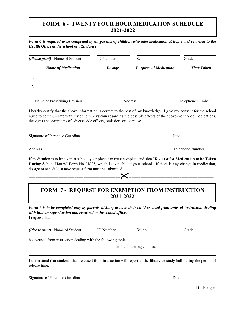# **FORM 6 - TWENTY FOUR HOUR MEDICATION SCHEDULE 2021-2022**

| (Please print) Name of Student                                                                                                                                                                                                               | <b>ID</b> Number | School                                                | Grade             |
|----------------------------------------------------------------------------------------------------------------------------------------------------------------------------------------------------------------------------------------------|------------------|-------------------------------------------------------|-------------------|
| <b>Name of Medication</b>                                                                                                                                                                                                                    | <b>Dosage</b>    | <b>Purpose of Medication</b>                          | <b>Time Taken</b> |
| <u> 1990 - Johann Barbara, martin a</u>                                                                                                                                                                                                      |                  |                                                       |                   |
| <u> 1990 - Johann Barbara, martin a</u>                                                                                                                                                                                                      |                  |                                                       |                   |
|                                                                                                                                                                                                                                              |                  |                                                       |                   |
| Name of Prescribing Physician                                                                                                                                                                                                                |                  | Address                                               | Telephone Number  |
| Signature of Parent or Guardian                                                                                                                                                                                                              |                  | Date                                                  |                   |
|                                                                                                                                                                                                                                              |                  |                                                       |                   |
| Address                                                                                                                                                                                                                                      |                  |                                                       | Telephone Number  |
| If medication is to be taken at school, your physician must complete and sign "Request for Medication to be Taken                                                                                                                            |                  |                                                       |                   |
| <b>During School Hours</b> " Form No. HS25, which is available at your school. If there is any change in medication,                                                                                                                         |                  |                                                       |                   |
| dosage or schedule, a new request form must be submitted.                                                                                                                                                                                    |                  |                                                       |                   |
|                                                                                                                                                                                                                                              |                  |                                                       |                   |
| ___________________________                                                                                                                                                                                                                  |                  |                                                       |                   |
|                                                                                                                                                                                                                                              |                  |                                                       |                   |
|                                                                                                                                                                                                                                              | 2021-2022        | <b>FORM 7- REQUEST FOR EXEMPTION FROM INSTRUCTION</b> |                   |
|                                                                                                                                                                                                                                              |                  |                                                       |                   |
| Form 7 is to be completed only by parents wishing to have their child excused from units of instruction dealing                                                                                                                              |                  |                                                       |                   |
| with human reproduction and returned to the school office.<br>I request that,                                                                                                                                                                |                  |                                                       |                   |
|                                                                                                                                                                                                                                              | <b>ID</b> Number | School                                                | Grade             |
|                                                                                                                                                                                                                                              |                  |                                                       |                   |
|                                                                                                                                                                                                                                              |                  |                                                       |                   |
|                                                                                                                                                                                                                                              |                  | in the following courses:                             |                   |
| (Please print) Name of Student<br>be excused from instruction dealing with the following topics:<br>I understand that students thus released from instruction will report to the library or study hall during the period of<br>release time. |                  |                                                       |                   |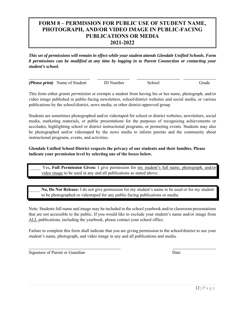# **FORM 8 – PERMISSION FOR PUBLIC USE OF STUDENT NAME, PHOTOGRAPH, AND/OR VIDEO IMAGE IN PUBLIC-FACING PUBLICATIONS OR MEDIA 2021-2022**

*This set of permissions will remain in effect while your student attends Glendale Unified Schools. Form 8 permissions can be modified at any time by logging in to Parent Connection or contacting your student's school.* 

| ( <i>Please print</i> ) Name of Student | ID Number | School | Grade |
|-----------------------------------------|-----------|--------|-------|

This form either *grants permission* or *exempts* a student from having his or her name, photograph, and/or video image published in public-facing newsletters, school/district websites and social media, or various publications by the school/district, news media, or other district-approved group.

Students are sometimes photographed and/or videotaped for school or district websites, newsletters, social media, marketing materials, or public presentations for the purposes of recognizing achievements or accolades, highlighting school or district instructional programs, or promoting events. Students may also be photographed and/or videotaped by the news media to inform parents and the community about instructional programs, events, and activities.

#### **Glendale Unified School District respects the privacy of our students and their families. Please indicate your permission level by selecting one of the boxes below.**

 \_\_\_\_\_ Yes**, Full Permission Given:** I give permission for my student's full name, photograph, and/or video image to be used in any and all publications as stated above.

\_\_\_\_\_ **No, Do Not Release:** I do not give permission for my student's name to be used or for my student to be photographed or videotaped for any public-facing publications or media.

Note: Students full name and image may be included in the school yearbook and/or classroom presentations that are not accessible to the public. If you would like to exclude your student's name and/or image from ALL publications, including the yearbook, please contact your school office.

Failure to complete this form shall indicate that you are giving permission to the school/district to use your student's name, photograph, and video image in any and all publications and media.

Signature of Parent or Guardian Date

 $\overline{a}$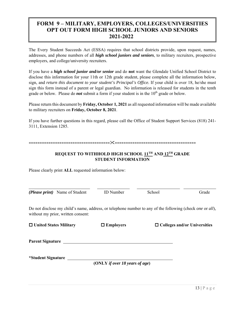# **FORM 9 – MILITARY, EMPLOYERS, COLLEGES/UNIVERSITIES OPT OUT FORM HIGH SCHOOL JUNIORS AND SENIORS 2021-2022**

The Every Student Succeeds Act (ESSA) requires that school districts provide, upon request, names, addresses, and phone numbers of all *high school juniors and seniors*, to military recruiters, prospective employers, and college/university recruiters.

If you have a *high school junior and/or senior* and do **not** want the Glendale Unified School District to disclose this information for your 11th or 12th grade student, please complete all the information below, sign, and *return this document to your student's Principal's Office.* If your child is over 18, he/she must sign this form instead of a parent or legal guardian. No information is released for students in the tenth grade or below. Please do *not* submit a form if your student is in the  $10<sup>th</sup>$  grade or below.

Please return this document by **Friday, October 1, 2021** as all requested information will be made available to military recruiters on **Friday, October 8, 2021**.

If you have further questions in this regard, please call the Office of Student Support Services (818) 241- 3111, Extension 1285.

==========================================================================

#### **REQUEST TO WITHHOLD HIGH SCHOOL 11TH AND 12TH GRADE STUDENT INFORMATION**

Please clearly print **ALL** requested information below:

| ( <i>Please print</i> ) Name of Student                                                                                                                        | <b>ID</b> Number               | School | Grade                               |
|----------------------------------------------------------------------------------------------------------------------------------------------------------------|--------------------------------|--------|-------------------------------------|
| Do not disclose my child's name, address, or telephone number to any of the following (check <i>one</i> or <i>all</i> ),<br>without my prior, written consent: |                                |        |                                     |
| $\Box$ United States Military                                                                                                                                  | $\Box$ Employers               |        | $\Box$ Colleges and/or Universities |
| <b>Parent Signature</b>                                                                                                                                        |                                |        |                                     |
| *Student Signature                                                                                                                                             | (ONLY if over 18 years of age) |        |                                     |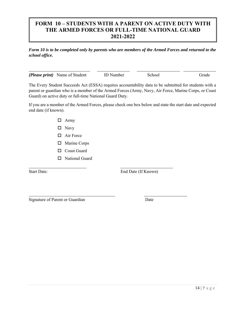# **FORM 10 – STUDENTS WITH A PARENT ON ACTIVE DUTY WITH THE ARMED FORCES OR FULL-TIME NATIONAL GUARD 2021-2022**

*Form 10 is to be completed only by parents who are members of the Armed Forces and returned to the school office.* 

| ( <i>Please print</i> ) Name of Student | <b>ID</b> Number | School | <b>Trade</b> |
|-----------------------------------------|------------------|--------|--------------|

The Every Student Succeeds Act (ESSA) requires accountability data to be submitted for students with a parent or guardian who is a member of the Armed Forces (Army, Navy, Air Force, Marine Corps, or Coast Guard) on active duty or full-time National Guard Duty.

If you are a member of the Armed Forces, please check one box below and state the start date and expected end date (if known).

- Army
- □ Navy
- □ Air Force
- □ Marine Corps
- □ Coast Guard
- □ National Guard

l

l

Start Date: End Date (If Known)

Signature of Parent or Guardian Date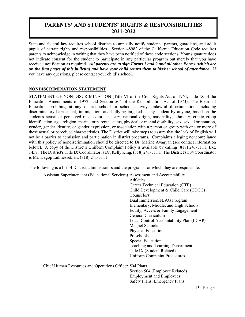# **PARENTS' AND STUDENTS' RIGHTS & RESPONSIBILITIES 2021-2022**

State and federal law requires school districts to annually notify students, parents, guardians, and adult pupils of certain rights and responsibilities. Section 48982 of the California Education Code requires parents to acknowledge in writing that they have been notified of these code sections. Your signature does not indicate consent for the student to participate in any particular program but merely that you have received notification as required. *All parents are to sign Forms 1 and 2 and all other Forms (which are on the first pages of this bulletin) and have your child return them to his/her school of attendance*. If you have any questions, please contact your child's school.

#### **NONDISCRIMINATION STATEMENT**

STATEMENT OF NON-DISCRIMINATION (Title VI of the Civil Rights Act of 1964; Title IX of the Education Amendments of 1972; and Section 504 of the Rehabilitation Act of 1973): The Board of Education prohibits, at any district school or school activity, unlawful discrimination, including discriminatory harassment, intimidation, and bullying targeted at any student by anyone, based on the student's actual or perceived race, color, ancestry, national origin, nationality, ethnicity, ethnic group identification, age, religion, marital or parental status, physical or mental disability, sex, sexual orientation, gender, gender identity, or gender expression, or association with a person or group with one or more of these actual or perceived characteristics. The District will take steps to assure that the lack of English will not be a barrier to admission and participation in district programs. Complaints alleging noncompliance with this policy of nondiscrimination should be directed to Dr. Marine Avagyan (see contact information below). A copy of the District's Uniform Complaint Policy is available by calling (818) 241-3111, Ext. 1457. The District's Title IX Coordinator is Dr. Kelly King, (818) 241-3111. The District's 504 Coordinator is Mr. Hagop Eulmessekian, (818) 241-3111.

The following is a list of District administrators and the programs for which they are responsible:

 Assistant Superintendent (Educational Services) Assessment and Accountability Athletics Career Technical Education (CTE) Child Development & Child Care (CDCC) **Counselors** Dual Immersion/FLAG Program Elementary, Middle, and High Schools Equity, Access & Family Engagement General Curriculum Local Control Accountability Plan (LCAP) Magnet Schools Physical Education Preschools Special Education Teaching and Learning Department Title IX (Student Related) Uniform Complaint Procedures Chief Human Resources and Operations Officer 504 Plans Section 504 (Employee Related) Employment and Employees Safety Plans, Emergency Plans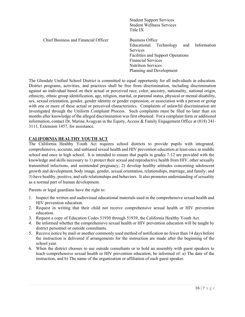| <b>Student Support Services</b><br><b>Student Wellness Services</b><br>Title IX                                                                                                                                  |
|------------------------------------------------------------------------------------------------------------------------------------------------------------------------------------------------------------------|
| Business Office<br>Information<br>Technology<br>and<br>Educational<br><b>Services</b><br>Facilities and Support Operations<br><b>Financial Services</b><br><b>Nutrition Services</b><br>Planning and Development |
|                                                                                                                                                                                                                  |

The Glendale Unified School District is committed to equal opportunity for all individuals in education. District programs, activities, and practices shall be free from discrimination, including discrimination against an individual based on their actual or perceived race, color, ancestry, nationality, national origin, ethnicity, ethnic group identification, age, religion, marital, or parental status, physical or mental disability, sex, sexual orientation, gender, gender identity or gender expression, or association with a person or group with one or more of these actual or perceived characteristics. Complaints of unlawful discrimination are investigated through the Uniform Complaint Process. Such complaints must be filed no later than six months after knowledge of the alleged discrimination was first obtained. For a complaint form or additional information, contact Dr. Marine Avagyan in the Equity, Access & Family Engagement Office at (818) 241- 3111, Extension 1457, for assistance.

#### **CALIFORNIA HEALTHY YOUTH ACT**

The California Healthy Youth Act requires school districts to provide pupils with integrated, comprehensive, accurate, and unbiased sexual health and HIV prevention education at least once in middle school and once in high school. It is intended to ensure that pupils in grades 7-12 are provided with the knowledge and skills necessary to 1) protect their sexual and reproductive health from HIV, other sexually transmitted infections, and unintended pregnancy; 2) develop healthy attitudes concerning adolescent growth and development, body image, gender, sexual orientation, relationships, marriage, and family; and 3) have healthy, positive, and safe relationships and behaviors. It also promotes understanding of sexuality as a normal part of human development.

Parents or legal guardians have the right to:

- 1. Inspect the written and audiovisual educational materials used in the comprehensive sexual health and HIV prevention education.
- 2. Request in writing that their child not receive comprehensive sexual health or HIV prevention education.
- 3. Request a copy of Education Codes 51930 through 51939, the California Healthy Youth Act.
- 4. Be informed whether the comprehensive sexual health or HIV prevention education will be taught by district personnel or outside consultants.
- 5. Receive notice by mail or another commonly used method of notification no fewer than 14 days before the instruction is delivered if arrangements for the instruction are made after the beginning of the school year.
- 6. When the district chooses to use outside consultants or to hold an assembly with guest speakers to teach comprehensive sexual health or HIV prevention education, be informed of: a) The date of the instruction, and b) The name of the organization or affiliation of each guest speaker.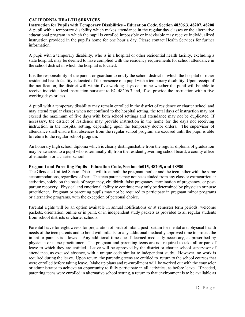#### **CALIFORNIA HEALTH SERVICES**

**Instruction for Pupils with Temporary Disabilities – Education Code, Section 48206.3, 48207, 48208**  A pupil with a temporary disability which makes attendance in the regular day classes or the alternative educational program in which the pupil is enrolled impossible or inadvisable may receive individualized instruction provided in the pupil's home for one hour a day. Please contact Health Services for further information.

A pupil with a temporary disability, who is in a hospital or other residential health facility, excluding a state hospital, may be deemed to have complied with the residency requirements for school attendance in the school district in which the hospital is located.

It is the responsibility of the parent or guardian to notify the school district in which the hospital or other residential health facility is located of the presence of a pupil with a temporary disability. Upon receipt of the notification, the district will within five working days determine whether the pupil will be able to receive individualized instruction pursuant to EC 48206.3 and, if so, provide the instruction within five working days or less.

A pupil with a temporary disability may remain enrolled in the district of residence or charter school and may attend regular classes when not confined to the hospital setting, the total days of instruction may not exceed the maximum of five days with both school settings and attendance may not be duplicated. If necessary, the district of residence may provide instruction in the home for the days not receiving instruction in the hospital setting, depending upon the temporary doctor orders. The supervisor of attendance shall ensure that absences from the regular school program are excused until the pupil is able to return to the regular school program.

An honorary high school diploma which is clearly distinguishable from the regular diploma of graduation may be awarded to a pupil who is terminally ill, from the resident governing school board, a county office of education or a charter school.

#### **Pregnant and Parenting Pupils - Education Code, Section 46015, 48205, and 48980**

The Glendale Unified School District will treat both the pregnant mother and the teen father with the same accommodations, regardless of sex. The teen parents may not be excluded from any class or extracurricular activities, solely on the basis of pregnancy, childbirth, false pregnancy, termination of pregnancy, or postpartum recovery. Physical and emotional ability to continue may only be determined by physician or nurse practitioner. Pregnant or parenting pupils may not be required to participate in pregnant minor programs or alternative programs, with the exception of personal choice.

Parental rights will be an option available in annual notifications or at semester term periods, welcome packets, orientation, online or in print, or in independent study packets as provided to all regular students from school districts or charter schools.

Parental leave for eight weeks for preparation of birth of infant, post-partum for mental and physical health needs of the teen parents and to bond with infants, or any additional medically approved time to protect the infant or parents is allowed. Any additional time due if deemed medically necessary, as prescribed by physician or nurse practitioner. The pregnant and parenting teens are not required to take all or part of leave to which they are entitled. Leave will be approved by the district or charter school supervisor of attendance, as excused absence, with a unique code similar to independent study. However, no work is required during the leave. Upon return, the parenting teens are entitled to return to the school courses that were enrolled before taking leave. Make up plans and re-enrollment will be worked out with the counselor or administrator to achieve an opportunity to fully participate in all activities, as before leave. If needed, parenting teens were enrolled in alternative school setting, a return to that environment is to be available as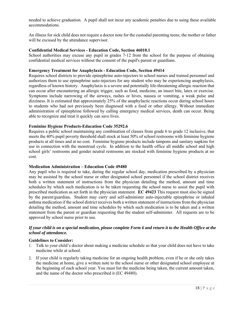needed to achieve graduation. A pupil shall not incur any academic penalties due to using these available accommodations.

An illness for sick child does not require a doctor note for the custodial parenting teens; the mother or father will be excused by the attendance supervisor.

#### **Confidential Medical Services - Education Code, Section 46010.1**

School authorities may excuse any pupil in grades 7-12 from the school for the purpose of obtaining confidential medical services without the consent of the pupil's parent or guardians.

#### **Emergency Treatment for Anaphylaxis - Education Code, Section 49414**

Requires school districts to provide epinephrine auto-injectors to school nurses and trained personnel and authorizes them to use epinephrine auto-injectors for any student who may be experiencing anaphylaxis, regardless of known history. Anaphylaxis is a severe and potentially life-threatening allergic reaction that can occur after encountering an allergic trigger, such as food, medicine, an insect bite, latex or exercise. Symptoms include narrowing of the airways, rashes or hives, nausea or vomiting, a weak pulse and dizziness. It is estimated that approximately 25% of the anaphylactic reactions occur during school hours to students who had not previously been diagnosed with a food or other allergy. Without immediate administration of epinephrine followed by calling emergency medical services, death can occur. Being able to recognize and treat it quickly can save lives.

#### **Feminine Hygiene Products-Education Code 35292.6**

Requires a public school maintaining any combination of classes from grade 6 to grade 12 inclusive, that meets the 40% pupil poverty threshold shall stock at least 50% of school restrooms with feminine hygiene products at all times and at no cost. Feminine hygiene products include tampons and sanitary napkins for use in connection with the menstrual cycle. In addition to the health office all middle school and high school girls' restrooms and gender neutral restrooms are stocked with feminine hygiene products at no cost.

#### **Medication Administration – Education Code 49480**

Any pupil who is required to take, during the regular school day, medication prescribed by a physician may be assisted by the school nurse or other designated school personnel if the school district receives both a written statement of instructions from the physician detailing the method, amount and time schedules by which such medication is to be taken requesting the school nurse to assist the pupil with prescribed medication as set forth in the physician statement. **EC 49423** This request must also be signed by the parent/guardian**.** Student may carry and self-administer auto-injectable epinephrine or inhaled asthma medication if the school district receives both a written statement of instructions from the physician detailing the method, amount and time schedules by which such medication is to be taken and a written statement from the parent or guardian requesting that the student self-administer. All requests are to be approved by school nurse prior to use.

#### *If your child is on a special medication, please complete Form 6 and return it to the Health Office at the school of attendance.*

#### **Guidelines to Consider:**

- 1. Talk to your child's doctor about making a medicine schedule so that your child does not have to take medicine while at school.
- 2. If your child is regularly taking medicine for an ongoing health problem, even if he or she only takes the medicine at home, give a written note to the school nurse or other designated school employee at the beginning of each school year. You must list the medicine being taken, the current amount taken, and the name of the doctor who prescribed it (EC 49480).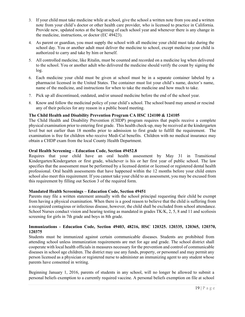- 3. If your child must take medicine while at school, give the school a written note from you and a written note from your child's doctor or other health care provider, who is licensed to practice in California. Provide new, updated notes at the beginning of each school year and whenever there is any change in the medicine, instructions, or doctor (EC 49423).
- 4. As parent or guardian, you must supply the school with all medicine your child must take during the school day. You or another adult must deliver the medicine to school, except medicine your child is authorized to carry and take by him or herself.
- 5. All controlled medicine, like Ritalin, must be counted and recorded on a medicine log when delivered to the school. You or another adult who delivered the medicine should verify the count by signing the log.
- 6. Each medicine your child must be given at school must be in a separate container labeled by a pharmacist licensed in the United States. The container must list your child's name, doctor's name, name of the medicine, and instructions for when to take the medicine and how much to take.
- 7. Pick up all discontinued, outdated, and/or unused medicine before the end of the school year.
- 8. Know and follow the medicinal policy of your child's school. The school board may amend or rescind any of their policies for any reason in a public board meeting.

#### **The Child Health and Disability Prevention Program CA HSC 124100 & 124105**

The Child Health and Disability Prevention (CHDP) program requires that pupils receive a complete physical examination prior to entering first grade. This health check-up, may be received at the kindergarten level but not earlier than 18 months prior to admission to first grade to fulfill the requirement. The examination is free for children who receive Medi-Cal benefits. Children with no medical insurance may obtain a CHDP exam from the local County Health Department.

#### **Oral Health Screening – Education Code, Section 49452.8**

Requires that your child have an oral health assessment by May 31 in Transitional Kindergarten/Kindergarten or first grade, whichever is his or her first year of public school. The law specifies that the assessment must be performed by a licensed dentist or licensed or registered dental health professional. Oral health assessments that have happened within the 12 months before your child enters school also meet this requirement. If you cannot take your child to an assessment, you may be excused from this requirement by filling out Section 3 of the required form.

#### **Mandated Health Screenings – Education Code, Section 49451**

Parents may file a written statement annually with the school principal requesting their child be exempt from having a physical examination. When there is a good reason to believe that the child is suffering from a recognized contagious or infectious disease, however, the child shall be excluded from school attendance. School Nurses conduct vision and hearing testing as mandated in grades TK/K, 2, 5, 8 and 11 and scoliosis screening for girls in 7th grade and boys in 8th grade.

#### **Immunizations - Education Code, Section 49403, 48216, HSC 120325. 120335, 120365, 120370, 120375**

Students must be immunized against certain communicable diseases. Students are prohibited from attending school unless immunization requirements are met for age and grade. The school district shall cooperate with local health officials in measures necessary for the prevention and control of communicable diseases in school age children. The district may use any funds, property, or personnel and may permit any person licensed as a physician or registered nurse to administer an immunizing agent to any student whose parents have consented in writing.

Beginning January 1, 2016, parents of students in any school, will no longer be allowed to submit a personal beliefs exemption to a currently required vaccine. A personal beliefs exemption on file at school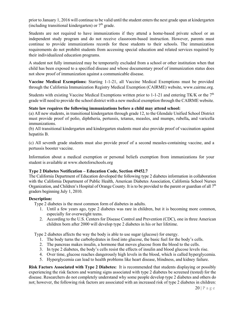prior to January 1, 2016 will continue to be valid until the student enters the next grade span at kindergarten (including transitional kindergarten) or  $7<sup>th</sup>$  grade.

Students are not required to have immunizations if they attend a home-based private school or an independent study program and do not receive classroom-based instruction. However, parents must continue to provide immunizations records for these students to their schools. The immunization requirements do not prohibit students from accessing special education and related services required by their individualized education programs.

A student not fully immunized may be temporarily excluded from a school or other institution when that child has been exposed to a specified disease and whose documentary proof of immunization status does not show proof of immunization against a communicable disease.

**Vaccine Medical Exemptions:** Starting 1-1-21, all Vaccine Medical Exemptions must be provided through the California Immunization Registry Medical Exemption (CAIRME) website, www.cairme.org.

Students with existing Vaccine Medical Exemptions written prior to 1-1-21 and entering TK/K or the  $7<sup>th</sup>$ grade will need to provide the school district with a new medical exemption through the CAIRME website.

#### **State law requires the following immunizations before a child may attend school:**

(a) All new students, in transitional kindergarten through grade 12, to the Glendale Unified School District must provide proof of polio, diphtheria, pertussis, tetanus, measles, and mumps, rubella**,** and varicella immunizations.

(b) All transitional kindergarten and kindergarten students must also provide proof of vaccination against hepatitis B.

(c) All seventh grade students must also provide proof of a second measles-containing vaccine, and a pertussis booster vaccine.

Information about a medical exemption or personal beliefs exemption from immunizations for your student is available at www.shotsforschools.org

#### **Type 2 Diabetes Notification – Education Code, Section 49452.7**

The California Department of Education developed the following type 2 diabetes information in collaboration with the California Department of Public Health, American Diabetes Association, California School Nurses Organization, and Children's Hospital of Orange County. It is to be provided to the parent or guardian of all  $7<sup>th</sup>$ graders beginning July 1, 2010.

#### **Description:**

Type 2 diabetes is the most common form of diabetes in adults.

- 1. Until a few years ago, type 2 diabetes was rare in children, but it is becoming more common, especially for overweight teens.
- 2. According to the U.S. Centers for Disease Control and Prevention (CDC), one in three American children born after 2000 will develop type 2 diabetes in his or her lifetime.

Type 2 diabetes affects the way the body is able to use sugar (glucose) for energy.

- 1. The body turns the carbohydrates in food into glucose, the basic fuel for the body's cells.
- 2. The pancreas makes insulin, a hormone that moves glucose from the blood to the cells.
- 3. In type 2 diabetes, the body's cells resist the effects of insulin and blood glucose levels rise.
- 4. Over time, glucose reaches dangerously high levels in the blood, which is called hyperglycemia.
- 5. Hyperglycemia can lead to health problems like heart disease, blindness, and kidney failure.

**Risk Factors Associated with Type 2 Diabetes:** It is recommended that students displaying or possibly experiencing the risk factors and warning signs associated with type 2 diabetes be screened (tested) for the disease. Researchers do not completely understand why some people develop type 2 diabetes and others do not; however, the following risk factors are associated with an increased risk of type 2 diabetes in children: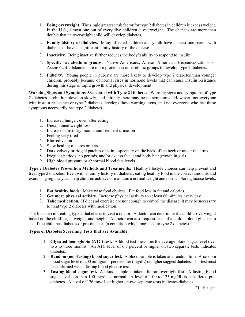- 1. **Being overweight**. The single greatest risk factor for type 2 diabetes in children is excess weight. In the U.S., almost one out of every five children is overweight. The chances are more than double that an overweight child will develop diabetes.
- 2. **Family history of diabetes.** Many affected children and youth have at least one parent with diabetes or have a significant family history of the disease.
- 3. **Inactivity.** Being inactive further reduces the body's ability to respond to insulin.
- 4. **Specific racial/ethnic groups.** Native Americans, African American, Hispanics/Latinos, or Asian/Pacific Islanders are more prone than other ethnic groups to develop type 2 diabetes.
- 5. **Puberty.** Young people in puberty are more likely to develop type 2 diabetes than younger children, probably because of normal rises in hormone levels that can cause insulin resistance during this stage of rapid growth and physical development.

**Warning Signs and Symptoms Associated with Type 2 Diabetes**: Warning signs and symptoms of type 2 diabetes in children develop slowly, and initially there may be no symptoms. However, not everyone with insulin resistance or type 2 diabetes develops these warning signs, and not everyone who has these symptoms necessarily has type 2 diabetes.

- 1. Increased hunger, even after eating
- 2. Unexplained weight loss
- 3. Increases thirst, dry mouth, and frequent urination
- 4. Feeling very tired
- 5. Blurred vision
- 6. Slow healing of sores or cuts
- 7. Dark velvety or ridged patches of skin, especially on the back of the neck or under the arms
- 8. Irregular periods, no periods, and/or excess facial and body hair growth in girls
- 9. High blood pressure or abnormal blood fats levels

**Type 2 Diabetes Prevention Methods and Treatments:** Healthy lifestyle choices can help prevent and treat type 2 diabetes. Even with a family history of diabetes, eating healthy food in the correct amounts and exercising regularly can help children achieve or maintain a normal weight and normal blood glucose levels.

- 1. **Eat healthy foods**. Make wise food choices. Eat food low in fat and calories.
- 2. **Get more physical activity**. Increase physical activity to at least 60 minutes every day.
- 3. **Take medication**. If diet and exercise are not enough to control the disease, it may be necessary to treat type 2 diabetes with medication.

The first step in treating type 2 diabetes is to visit a doctor. A doctor can determine if a child is overweight based on the child's age, weight, and height. A doctor can also request tests of a child's blood glucose to see if the child has diabetes or pre-diabetes (a condition which may lead to type 2 diabetes).

#### **Types of Diabetes Screening Tests that are Available:**

- 1. **Glycated hemoglobin (A1C) test.** A blood test measures the average blood sugar level over two to three months. An A1C level of 6.5 percent or higher on two separate tests indicates diabetes.
- 2. **Random (non-fasting) blood sugar test.** A blood sample is taken at a random time. A random blood sugar level of 200 milligrams per deciliter (mg/dL) or higher suggest diabetes. This test must be confirmed with a fasting blood glucose test.
- 3. **Fasting blood sugar test.** A blood sample is taken after an overnight fast. A fasting blood sugar level less than 100 mg/dL is normal. A level of 100 to 125 mg/dL is considered prediabetes. A level of 126 mg/dL or higher on two separate tests indicates diabetes.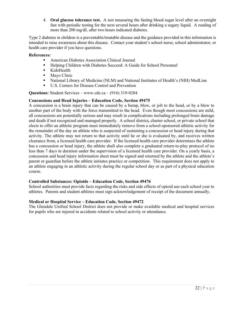4. **Oral glucose tolerance test.** A test measuring the fasting blood sugar level after an overnight fast with periodic testing for the next several hours after drinking a sugary liquid. A reading of more than 200 mg/dL after two hours indicated diabetes.

Type 2 diabetes in children is a preventable/treatable disease and the guidance provided in this information is intended to raise awareness about this disease. Contact your student's school nurse, school administrator, or health care provider if you have questions.

#### **References:**

- American Diabetes Association Clinical Journal
- Helping Children with Diabetes Succeed: A Guide for School Personnel
- **KidsHealth**
- Mayo Clinic
- National Library of Medicine (NLM) and National Institutes of Health's (NIH) MedLine
- U.S. Centers for Disease Control and Prevention

**Questions:** Student Services – www.cde.ca – (916) 319-0284

#### **Concussions and Head Injuries – Education Code, Section 49475**

A concussion is a brain injury that can be caused by a bump, blow, or jolt to the head, or by a blow to another part of the body with the force transmitted to the head. Even though most concussions are mild, all concussions are potentially serious and may result in complications including prolonged brain damage and death if not recognized and managed properly. A school district*,* charter school, or private school that elects to offer an athletic program must immediately remove from a school-sponsored athletic activity for the remainder of the day an athlete who is suspected of sustaining a concussion or head injury during that activity. The athlete may not return to that activity until he or she is evaluated by, and receives written clearance from, a licensed health care provider. If the licensed health care provider determines the athlete has a concussion or head injury, the athlete shall also complete a graduated return-to-play protocol of no less than 7 days in duration under the supervision of a licensed health care provider. On a yearly basis, a concussion and head injury information sheet must be signed and returned by the athlete and the athlete's parent or guardian before the athlete initiates practice or competition. This requirement does not apply to an athlete engaging in an athletic activity during the regular school day or as part of a physical education course.

#### **Controlled Substances: Opioids – Education Code, Section 49476**

School authorities must provide facts regarding the risks and side effects of opioid use each school year to athletes. Parents and student athletes must sign acknowledgement of receipt of the document annually.

#### **Medical or Hospital Service – Education Code, Section 49472**

The Glendale Unified School District does not provide or make available medical and hospital services for pupils who are injured in accidents related to school activity or attendance.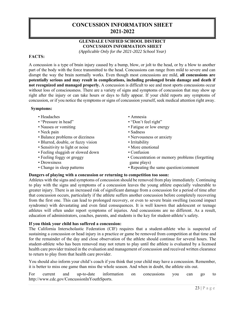# **CONCUSSION INFORMATION SHEET 2021-2022**

#### **GLENDALE UNIFIED SCHOOL DISTRICT CONCUSSION INFORMATION SHEET**

*(Applicable Only for the 2021-2022 School Year)* 

#### **FACTS:**

A concussion is a type of brain injury caused by a bump, blow, or jolt to the head, or by a blow to another part of the body with the force transmitted to the head. Concussions can range from mild to severe and can disrupt the way the brain normally works. Even though most concussions are mild, **all concussions are potentially serious and may result in complications, including prolonged brain damage and death if not recognized and managed properly.** A concussion is difficult to see and most sports concussions occur without loss of consciousness. There are a variety of signs and symptoms of concussion that may show up right after the injury or can take hours or days to fully appear. If your child reports any symptoms of concussion, or if you notice the symptoms or signs of concussion yourself, seek medical attention right away.

#### **Symptoms:**

- Headaches
- "Pressure in head"
- Nausea or vomiting
- Neck pain
- Balance problems or dizziness
- Blurred, double, or fuzzy vision
- Sensitivity to light or noise
- Feeling sluggish or slowed down
- Feeling foggy or groggy
- Drowsiness
- Change in sleep patterns
- Amnesia
- "Don't feel right"
- Fatigue or low energy
- Sadness
- Nervousness or anxiety
- Irritability
- More emotional
- Confusion
- Concentration or memory problems (forgetting game plays)
- Repeating the same question/comment

#### **Dangers of playing with a concussion or returning to competition too soon:**

Athletes with the signs and symptoms of concussion should be removed from play immediately. Continuing to play with the signs and symptoms of a concussion leaves the young athlete especially vulnerable to greater injury. There is an increased risk of significant damage from a concussion for a period of time after that concussion occurs, particularly if the athlete suffers another concussion before completely recovering from the first one. This can lead to prolonged recovery, or even to severe brain swelling (second impact syndrome) with devastating and even fatal consequences. It is well known that adolescent or teenage athletes will often under report symptoms of injuries. And concussions are no different. As a result, education of administrators, coaches, parents, and students is the key for student-athlete's safety.

#### **If you think your child has suffered a concussion:**

The California Interscholastic Federation (CIF) requires that a student-athlete who is suspected of sustaining a concussion or head injury in a practice or game be removed from competition at that time and for the remainder of the day and close observation of the athlete should continue for several hours. The student-athlete who has been removed may not return to play until the athlete is evaluated by a licensed health care provider trained in the evaluation and management of concussion and received written clearance to return to play from that health care provider.

You should also inform your child's coach if you think that your child may have a concussion. Remember, it is better to miss one game than miss the whole season. And when in doubt, the athlete sits out.

For current and up-to-date information on concussions you can go to http://www.cdc.gov/ConcussionInYouthSports.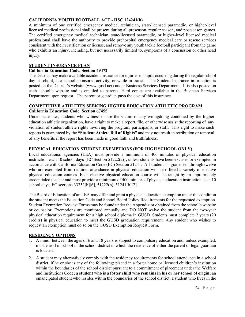#### **CALIFORNIA YOUTH FOOTBALL ACT - HSC 124241(h)**

A minimum of one certified emergency medical technician, state-licensed paramedic, or higher-level licensed medical professional shall be present during all preseason, regular season, and postseason games. The certified emergency medical technician, state-licensed paramedic, or higher-level licensed medical professional shall have the authority to provide prehospital emergency medical care or rescue services consistent with their certification or license, and remove any youth tackle football participant from the game who exhibits an injury, including, but not necessarily limited to, symptoms of a concussion or other head injury.

#### **STUDENT INSURANCE PLAN**

#### **California Education Code, Section 49472**

The District may make available accident insurance for injuries to pupils occurring during the regular school day at school, at a school-sponsored activity, or while in transit. The Student Insurance information is posted on the District's website (www.gusd.net) under Business Services Department. It is also posted on each school's website and is emailed to parents. Hard copies are available in the Business Services Department upon request. The parent or guardian pays the cost of this insurance.

#### **COMPETITIVE ATHLETES SEEKING HIGHER EDUCATION ATHLETIC PROGRAM**

#### **California Education Code, Section 67455**

Under state law, students who witness or are the victim of any wrongdoing condoned by the higher education athletic organization, have a right to make a report, file, or otherwise assist the reporting of any violation of student athlete rights involving the program, participants, or staff. This right to make such reports is guaranteed by the **"Student Athlete Bill of Rights"** and may not result in retribution or removal of any benefits if the report has been made in good faith and truthfulness.

#### **PHYSICAL EDUCATION STUDENT EXEMPTIONS (FOR HIGH SCHOOL ONLY)**

Local educational agencies (LEA) must provide a minimum of 400 minutes of physical education instruction each 10 school days {EC Section 51222(a)}, unless students have been excused or exempted in accordance with California Education Code (EC) Section 51241. All students in grades ten through twelve who are exempted from required attendance in physical education will be offered a variety of elective physical education courses. Each elective physical education course will be taught by an appropriately credentialed teacher and must provide a minimum of 400 minutes of physical education instruction each 10 school days. EC sections 33352[b][6], 51222(b), 51241[b][2].

The Board of Education of an LEA may offer and grant a physical education exemption under the condition the student meets the Education Code and School Board Policy Requirements for the requested exemption. Student Exemption Request Forms may be found under the Appendix or obtained from the school's website or counselor. Exemptions are monitored annually and DO NOT waive the student from the two-year physical education requirement for a high school diploma in GUSD. Students must complete 2 years (20 credits) in physical education to meet the GUSD graduation requirement. Any student who wishes to request an exemption must do so on the GUSD Exemption Request Form.

#### **RESIDENCY OPTIONS**

- 1. A minor between the ages of 6 and 18 years is subject to compulsory education and, unless exempted, must enroll in school in the school district in which the residence of either the parent or legal guardian is located.
- 2. A student may alternatively comply with the residency requirements for school attendance in a school district, if he or she is any of the following: placed in a foster home or licensed children's institution within the boundaries of the school district pursuant to a commitment of placement under the Welfare and Institutions Code**; a student who is a foster child who remains in his or her school of origin;** an emancipated student who resides within the boundaries of the school district; a student who lives in the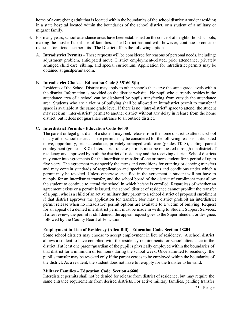home of a caregiving adult that is located within the boundaries of the school district; a student residing in a state hospital located within the boundaries of the school district, or a student of a military or migrant family.

- 3. For many years, school attendance areas have been established on the concept of neighborhood schools, making the most efficient use of facilities. The District has and will, however, continue to consider requests for attendance permits. The District offers the following options:
	- A. **Intradistrict Permits** These requests will be considered for reasons of personal needs, including: adjustment problem, anticipated move, District employment-related, prior attendance, privately arranged child care, sibling, and special curriculum. Application for intradistrict permits may be obtained at gusdpermits.com.

#### B. **Intradistrict Choice – Education Code § 35160.5(b)**

Residents of the School District may apply to other schools that serve the same grade levels within the district. Information is provided on the district website. No pupil who currently resides in the attendance area of a school can be displaced by pupils transferring from outside the attendance area. Students who are a victim of bullying shall be allowed an intradistrict permit to transfer if space is available at the same grade level. If there is no "intra-district" space to attend, the student may seek an "inter-district" permit to another district without any delay in release from the home district, but it does not guarantee entrance to an outside district.

#### C. **Interdistrict Permits - Education Code 46600**

The parent or legal guardian of a student may seek release from the home district to attend a school in any other school district. These permits may be considered for the following reasons: anticipated move, opportunity, prior attendance, privately arranged child care (grades TK-8), sibling, parent employment (grades TK-8). Interdistrict release permits must be requested through the district of residency and approved by both the district of residency and the receiving district. School districts may enter into agreements for the interdistrict transfer of one or more student for a period of up to five years. The agreement must specify the terms and conditions for granting or denying transfers and may contain standards of reapplication and specify the terms and conditions under which a permit may be revoked. Unless otherwise specified in the agreement, a student will not have to reapply for an interdistrict transfer, and the school board of the district of enrollment must allow the student to continue to attend the school in which he/she is enrolled. Regardless of whether an agreement exists or a permit is issued, the school district of residence cannot prohibit the transfer of a pupil who is a child of an active military duty parent to a school district of proposed enrollment if that district approves the application for transfer. Nor may a district prohibit an interdistrict permit release when no intradistrict permit options are available to a victim of bullying. Request for an appeal of a denied interdistrict permit must be made in writing to Student Support Services. If after review, the permit is still denied, the appeal request goes to the Superintendent or designee, followed by the County Board of Education.

#### **Employment in Lieu of Residency (Allen Bill) - Education Code, Section 48204**

Some school districts may choose to accept employment in lieu of residency. A school district allows a student to have complied with the residency requirements for school attendance in the district if at least one parent/guardian of the pupil is physically employed within the boundaries of that district for a minimum of ten hours during the school week. Once admitted to residency, the pupil's transfer may be revoked only if the parent ceases to be employed within the boundaries of the district. As a resident, the student does not have to re-apply for the transfer to be valid.

#### **Military Families – Education Code, Section 46600**

Interdistrict permits shall not be denied for release from district of residence, but may require the same entrance requirements from desired districts. For active military families, pending transfer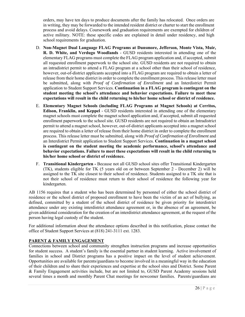orders, may have ten days to produce documents after the family has relocated. Once orders are in writing, they may be forwarded to the intended resident district or charter to start the enrollment process and avoid delays. Coursework and graduation requirements are exempted for children of active military. NOTE: these specific codes are explained in detail under residency, and high school requirements for graduation.

- D. **Non-Magnet Dual Language FLAG Programs at Dunsmore, Jefferson, Monte Vista, Muir, R. D. White, and Verdugo Woodlands** - GUSD residents interested in attending one of the elementary FLAG programs must complete the FLAG program application and, if accepted, submit all requested enrollment paperwork to the school site. GUSD residents are not required to obtain an intradistrict permit to attend a FLAG program at a school other than their school of residence, however, out-of-district applicants accepted into a FLAG program are required to obtain a letter of release from their home district in order to complete the enrollment process. This release letter must be submitted, along with *Proof of Confirmation of Enrollment* and an Interdistrict Permit application to Student Support Services. **Continuation in a FLAG program is contingent on the student meeting the school's attendance and behavior expectations. Failure to meet these expectations will result in the child returning to his/her home school or district of residence.**
- E. **Elementary Magnet Schools (including FLAG Programs at Magnet Schools) at Cerritos, Edison, Franklin, and Keppel** - GUSD residents interested in attending one of the elementary magnet schools must complete the magnet school application and, if accepted, submit all requested enrollment paperwork to the school site. GUSD residents are not required to obtain an Intradistrict permit to attend a magnet school, however, out-of-district applicants accepted into a magnet school are required to obtain a letter of release from their home district in order to complete the enrollment process. This release letter must be submitted, along with *Proof of Confirmation of Enrollment* and an Interdistrict Permit application to Student Support Services. **Continuation in a magnet school is contingent on the student meeting the academic performance, school's attendance and behavior expectations. Failure to meet these expectations will result in the child returning to his/her home school or district of residence.**
- F. **Transitional Kindergarten** Because not all GUSD school sites offer Transitional Kindergarten (TK), students eligible for TK (5 years old on or between September 2 - December 2) will be assigned to the TK site closest to their school of residence. Students assigned to a TK site that is not their school of residence must return to their school of residence the following year for kindergarten.

AB 1156 requires that a student who has been determined by personnel of either the school district of residence or the school district of proposed enrollment to have been the victim of an act of bullying, as defined, committed by a student of the school district of residence be given priority for interdistrict attendance under any existing interdistrict attendance agreement or, in the absence of an agreement, be given additional consideration for the creation of an interdistrict attendance agreement, at the request of the person having legal custody of the student.

For additional information about the attendance options described in this notification, please contact the office of Student Support Services at (818) 241-3111 ext. 1283.

#### **PARENT & FAMILY ENGAGEMENT**

Connections between school and community strengthen instruction programs and increase opportunities for student success. A student's family is the essential partner in student learning. Active involvement of families in school and District programs has a positive impact on the level of student achievement. Opportunities are available for parents/guardians to become involved in a meaningful way in the education of their children and to share their experiences and expertise at the school sites and District. Some Parent & Family Engagement activities include, but are not limited to, GUSD Parent Academy sessions held several times a month and monthly Parent Chat meetings for newcomer families. Parents/guardians are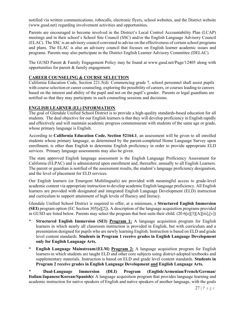notified via written communications, robocalls, electronic flyers, school websites, and the District website (www.gusd.net) regarding involvement activities and opportunities.

Parents are encouraged to become involved in the District's Local Control Accountability Plan (LCAP) meetings and in their school's School Site Council (SSC) and/or the English Language Advisory Council (ELAC). The SSC is an advisory council convened to advise on the effectiveness of certain school programs and plans. The ELAC is also an advisory council that focuses on English learner academic issues and programs. Parents may also participate in the District English Learner Advisory Committee (DELAC).

The GUSD Parent & Family Engagement Policy may be found at www.gusd.net/Page/12405 along with opportunities for parent & family engagement.

#### **CAREER COUNSELING & COURSE SELECTION**

California Education Code, Section 221.5(d): Commencing grade 7, school personnel shall assist pupils with course selection or career counseling, exploring the possibility of careers, or courses leading to careers based on the interest and ability of the pupil and not on the pupil's gender. Parents or legal guardians are notified so that they may participate in such counseling sessions and decisions.

#### **ENGLISH LEARNER (EL) INFORMATION**

The goal of Glendale Unified School District is to provide a high-quality standards-based education for all students. The dual objective for our English learners is that they will develop proficiency in English rapidly and effectively and will maintain academic progress commensurate with students of the same age or grade, whose primary language is English.

According to **California Education Code, Section 52164.1**, an assessment will be given to all enrolled students whose primary language, as determined by the parent-completed Home Language Survey upon enrollment, is other than English to determine English proficiency in order to provide appropriate ELD services. Primary language assessments may also be given.

The state approved English language assessment is the English Language Proficiency Assessment for California (ELPAC) and is administered upon enrollment and, thereafter, annually to all English Learners. The parent or guardian is notified of the assessment results, the student's language proficiency designation, and the level of placement for ELD services.

Our English learners (or Emergent Multilinguals) are provided with meaningful access to grade-level academic content via appropriate instruction to develop academic English language proficiency. All English learners are provided with designated and integrated English Language Development (ELD) instruction and curriculum to support attainment of high levels of fluency and literacy.

Glendale Unified School District is required to offer, at a minimum, a **Structured English Immersion (SEI)** program option (EC Section 305[a][2]). A description of the language acquisition programs provided in GUSD are listed below. Parents may select the program that best suits their child. (20 6[e][3][A][iii],[v])

- **Structured English Immersion (SEI) Program 1:** A language acquisition program for English learners in which nearly all classroom instruction is provided in English, but with curriculum and a presentation designed for pupils who are newly learning English. Instruction is based on ELD and grade level content standards. **Students in Program 1 receive grades in English Language Development only for English Language Arts.**
- **English Language Mainstream/(ELM) Program 2:** A language acquisition program for English learners in which students are taught ELD and other core subjects using district-adopted textbooks and supplementary materials. Instruction is based on ELD and grade level content standards. **Students in Program 2 receive grades in English Language Development and English Language Arts.**

\* **Dual-Language Immersion (DLI) Program (English/Armenian/French/German/ Italian/Japanese/Korean/Spanish):** A language acquisition program that provides language learning and academic instruction for native speakers of English and native speakers of another language, with the goals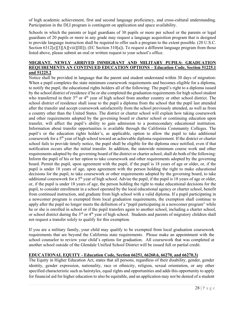of high academic achievement, first and second language proficiency, and cross-cultural understanding. Participation in the DLI program is contingent on application and space availability.

Schools in which the parents or legal guardians of 30 pupils or more per school or the parents or legal guardians of 20 pupils or more in any grade may request a language acquisition program that is designed to provide language instruction shall be required to offer such a program to the extent possible. (20 U.S.C. Section 6312[e][3][A][viii][III]); (EC Section 310[a]). To request a different language program from those listed above, please submit an oral or written request to your school's office.

#### **MIGRANT, NEWLY ARRIVED IMMIGRANT AND MILITARY PUPILS: GRADUATION REQUIREMENTS AN CONTINUED EDUCATION OPTIONS – Education Code, Section 51225.1 and 51225.2**

Notice shall be provided in language that the parent and student understand within 30 days of migration: When a pupil completes the state minimum coursework requirements and becomes eligible for a diploma, to notify the pupil, the educational rights holders all of the following: The pupil's right to a diploma issued by the school district of residence if he or she completed the graduation requirements for high school student who transferred in their  $3<sup>rd</sup>$  or  $4<sup>th</sup>$  year of high school from another country or other school district. The school district of residence shall issue to the pupil a diploma from the school that the pupil last attended after the transfer and accept coursework satisfactorily from the school previously attended, as well as from a country other than the United States. The district or charter school will explain how taking coursework and other requirements adopted by the governing board or charter school or continuing education upon transfer, will affect the pupil's ability to gain admission to a postsecondary educational institution. Information about transfer opportunities is available through the California Community Colleges. The pupil's or the education rights holder's, as applicable, option to allow the pupil to take additional coursework for a 5th year of high school toward an achievable diploma requirement. If the district or charter school fails to provide timely notice, the pupil shall be eligible for the diploma once notified, even if that notification occurs after the initial transfer. In addition, the statewide minimum course work and other requirements adopted by the governing board of the district or charter school, shall do both of the following: Inform the pupil of his or her option to take coursework and other requirements adopted by the governing board. Permit the pupil, upon agreement with the pupil, if the pupil is 18 years of age or older, or, if the pupil is under 18 years of age, upon agreement with the person holding the right to make educational decisions for the pupil, to take coursework or other requirements adopted by the governing board, to take additional coursework for a  $5<sup>th</sup>$  year of high school. Advise the pupil, if the pupil is 18 years of age or older, or, if the pupil is under 18 years of age, the person holding the right to make educational decisions for the pupil, to consider enrollment in a school operated by the local educational agency or charter school, benefit from continued instruction, and graduate from high school with a valid diploma. If a pupil participating in a newcomer program is exempted from local graduation requirements, the exemption shall continue to apply after the pupil no longer meets the definition of a "pupil participating in a newcomer program" while he or she is enrolled in school or if the pupil transfers again to another school, including a charter school, or school district during the 3<sup>rd</sup> or 4<sup>th</sup> year of high school. Students and parents of migratory children shall not request a transfer solely to qualify for this exemption.

If you are a military family, your child may qualify to be exempted from local graduation coursework requirements that are beyond the California state requirements. Please make an appointment with the school counselor to review your child's options for graduation. All coursework that was completed at another school outside of the Glendale Unified School District will be issued full or partial credit.

#### **EDUCATIONAL EQUITY - Education Code, Section 66251, 66260.6, 66270, and 66270.3)**

The Equity in Higher Education Act, states that all persons, regardless of their disability, gender, gender identity, gender expression, nationality, race or ethnicity, religion, sexual orientation, or any other specified characteristic such as hairstyles, equal rights and opportunities and adds this opportunity to apply for financial aid for higher education to also be equitable, and an application may not be denied of a student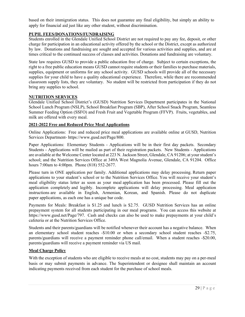based on their immigration status. This does not guarantee any final eligibility, but simply an ability to apply for financial aid just like any other student, without discrimination.

#### **PUPIL FEES/DONATIONS/FUNDRAISING**

Students enrolled in the Glendale Unified School District are not required to pay any fee, deposit, or other charge for participation in an educational activity offered by the school or the District, except as authorized by law. Donations and fundraising are sought and accepted for various activities and supplies, and are at times critical to the continued success of classes and activities. Donations and fundraising are voluntary.

State law requires GUSD to provide a public education free of charge. Subject to certain exceptions, the right to a free public education means GUSD cannot require students or their families to purchase materials, supplies, equipment or uniforms for any school activity. GUSD schools will provide all of the necessary supplies for your child to have a quality educational experience. Therefore, while there are recommended classroom supply lists, they are voluntary. No student will be restricted from participation if they do not bring any supplies to school.

#### **NUTRITION SERVICES**

Glendale Unified School District's (GUSD) Nutrition Services Department participates in the National School Lunch Program (NSLP), School Breakfast Program (SBP), After School Snack Program, Seamless Summer Feeding Option (SSFO) and Fresh Fruit and Vegetable Program (FFVP). Fruits, vegetables, and milk are offered with every meal.

#### **2021-2022 Free and Reduced Price Meal Applications**

Online Applications: Free and reduced price meal applications are available online at GUSD, Nutrition Services Department- https://www.gusd.net/Page/800.

Paper Applications: Elementary Students - Applications will be in their first day packets. Secondary Students - Applications will be mailed as part of their registration packets. New Students - Applications are available at the Welcome Center located at 223 N. Jackson Street, Glendale, CA 91206; at your student's school; and the Nutrition Services Office at 349A West Magnolia Avenue, Glendale, CA 91204. Office hours 7:00am to 4:00pm. Phone (818) 552-2677.

Please turn in ONE application per family. Additional applications may delay processing. Return paper applications to your student's school or to the Nutrition Services Office. You will receive your student's meal eligibility status letter as soon as your meal application has been processed. Please fill out the application completely and legibly. Incomplete applications will delay processing. Meal application instructions are available in English, Armenian, Korean, and Spanish. Please do not duplicate paper applications, as each one has a unique bar code.

Payments for Meals: Breakfast is \$1.25 and lunch is \$2.75. GUSD Nutrition Services has an online prepayment system for all students participating in our meal programs. You can access this website at https://www.gusd.net/Page/797. Cash and checks can also be used to make prepayments at your child's cafeteria or at the Nutrition Services Office.

Students and their parents/guardians will be notified whenever their account has a negative balance. When an elementary school student reaches -\$10.00 or when a secondary school student reaches -\$2.75, parents/guardians will receive a payment reminder phone call/email. When a student reaches -\$20.00, parents/guardians will receive a payment reminder via US mail.

#### **Meal Charge Policy**

With the exception of students who are eligible to receive meals at no cost, students may pay on a per-meal basis or may submit payments in advance. The Superintendent or designee shall maintain an account indicating payments received from each student for the purchase of school meals.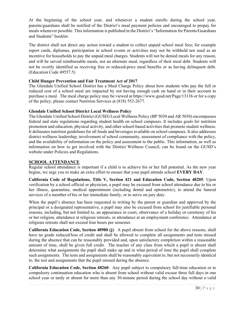At the beginning of the school year, and whenever a student enrolls during the school year, parents/guardians shall be notified of the District's meal payment policies and encouraged to prepay for meals whenever possible. This information is published in the District's "Information for Parents/Guardians and Students" booklet.

The district shall not direct any action toward a student to collect unpaid school meal fees; for example report cards, diplomas, participation in school events or activities may not be withheld nor used as an incentive for households to pay the unpaid meal charges. Students will not be denied meals for any reason, and will be served reimbursable meals, not an alternate meal, regardless of their meal debt. Students will not be overtly identified as receiving free or reduced-price meal benefits or as having delinquent debt. (Education Code 49557.5)

#### **Child Hunger Prevention and Fair Treatment Act of 2017**

The Glendale Unified School District has a Meal Charge Policy about how students who pay the full or reduced cost of a school meal are impacted by not having enough cash on hand or in their account to purchase a meal. The meal charge policy may be viewed at https://www.gusd.net/Page/13136 or for a copy of the policy, please contact Nutrition Services at (818) 552-2677.

#### **Glendale Unified School District Local Wellness Policy**

The Glendale Unified School District (GUSD) Local Wellness Policy (BP 5030 and AR 5030) encompasses federal and state regulations regarding student health on school campuses. It includes goals for nutrition promotion and education, physical activity, and other school-based activities that promote student wellness. It delineates nutrition guidelines for all foods and beverages available on school campuses. It also addresses district wellness leadership, involvement of school community, assessment of compliance with the policy, and the availability of information on the policy and assessment to the public. This information, as well as information on how to get involved with the District Wellness Council, can be found on the GUSD's website under Policies and Regulations.

#### **SCHOOL ATTENDANCE**

Regular school attendance is important if a child is to achieve his or her full potential. As the new year begins, we urge you to make an extra effort to ensure that your pupil attends school **EVERY DAY**.

**California Code of Regulations, Title V, Section 421 and Education Code, Section 48205**: Upon verification by a school official or physician, a pupil may be excused from school attendance due to his or her illness, quarantine, medical appointment (including dental and optometric), to attend the funeral services of a member of his or her immediate family, or to serve on jury duty.

When the pupil's absence has been requested in writing by the parent or guardian and approved by the principal or a designated representative, a pupil may also be excused from school for justifiable personal reasons, including, but not limited to, an appearance in court, observance of a holiday or ceremony of his or her religion, attendance at religious retreats, or attendance at an employment conference. Attendance at religious retreats shall not exceed four hours per semester.

**California Education Code, Section 48980 (j)**: A pupil absent from school for the above reasons, shall have no grade reduced/loss of credit and shall be allowed to complete all assignments and tests missed during the absence that can be reasonably provided and, upon satisfactory completion within a reasonable amount of time, shall be given full credit. The teacher of any class from which a pupil is absent shall determine what assignments the pupil shall make up and in what period of time the pupil shall complete such assignments. The tests and assignments shall be reasonably equivalent to, but not necessarily identical to, the test and assignments that the pupil missed during the absence.

**California Education Code, Section 48260**: Any pupil subject to compulsory full-time education or to compulsory continuation education who is absent from school without valid excuse three full days in one school year or tardy or absent for more than any 30-minute period during the school day without a valid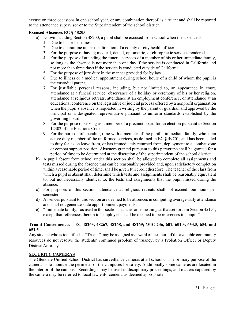excuse on three occasions in one school year, or any combination thereof, is a truant and shall be reported to the attendance supervisor or to the Superintendent of the school district.

#### **Excused Absences EC § 48205**

- a) Notwithstanding Section 48200, a pupil shall be excused from school when the absence is:
	- 1. Due to his or her illness.
	- 2. Due to quarantine under the direction of a county or city health officer.
	- 3. For the purpose of having medical, dental, optometric, or chiropractic services rendered.
	- 4. For the purpose of attending the funeral services of a member of his or her immediate family, so long as the absence is not more than one day if the service is conducted in California and not more than three days if the service is conducted outside of California.
	- 5. For the purpose of jury duty in the manner provided for by law.
	- 6. Due to illness or a medical appointment during school hours of a child of whom the pupil is the custodial parent.
	- 7. For justifiable personal reasons, including, but not limited to, an appearance in court, attendance at a funeral service, observance of a holiday or ceremony of his or her religion, attendance at religious retreats, attendance at an employment conference, or attendance at an educational conference on the legislative or judicial process offered by a nonprofit organization when the pupil's absence is requested in writing by the parent or guardian and approved by the principal or a designated representative pursuant to uniform standards established by the governing board.
	- 8. For the purpose of serving as a member of a precinct board for an election pursuant to Section 12302 of the Elections Code.
	- 9. For the purpose of spending time with a member of the pupil's immediate family, who is an active duty member of the uniformed services, as defined in EC § 49701, and has been called to duty for, is on leave from, or has immediately returned from, deployment to a combat zone or combat support position. Absences granted pursuant to this paragraph shall be granted for a period of time to be determined at the discretion of the superintendent of the school district.
- b) A pupil absent from school under this section shall be allowed to complete all assignments and tests missed during the absence that can be reasonably provided and, upon satisfactory completion within a reasonable period of time, shall be given full credit therefore. The teacher of the class from which a pupil is absent shall determine which tests and assignments shall be reasonably equivalent to, but not necessarily identical to, the tests and assignments that the pupil missed during the absence.
- c) For purposes of this section, attendance at religious retreats shall not exceed four hours per semester.
- d) Absences pursuant to this section are deemed to be absences in computing average daily attendance and shall not generate state apportionment payments.
- e) "Immediate family," as used in this section, has the same meaning as that set forth in Section 45194, except that references therein to "employee" shall be deemed to be references to "pupil."

#### **Truant Consequences – EC 48263, 48267, 48268, and 48269; WIC 236, 601, 601.3, 653.5, 654, and 651.5**

Any student who is identified as "Truant" may be assigned as a ward of the court, if the available community resources do not resolve the students' continued problem of truancy, by a Probation Officer or Deputy District Attorney.

#### **SECURITY CAMERAS**

The Glendale Unified School District has surveillance cameras at all schools. The primary purpose of the cameras is to monitor the perimeter of the campuses for safety. Additionally some cameras are located in the interior of the campus. Recordings may be used in disciplinary proceedings, and matters captured by the camera may be referred to local law enforcement, as deemed appropriate.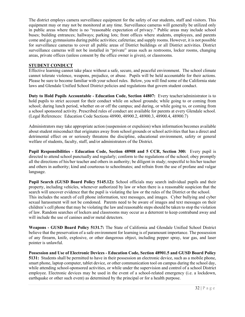The district employs camera surveillance equipment for the safety of our students, staff and visitors. This equipment may or may not be monitored at any time. Surveillance cameras will generally be utilized only in public areas where there is no "reasonable expectation of privacy." Public areas may include school buses; building entrances; hallways; parking lots; front offices where students, employees, and parents come and go; gymnasiums during public activities; cafeterias; and supply rooms. However, it is not possible for surveillance cameras to cover all public areas of District buildings or all District activities. District surveillance cameras will not be installed in "private" areas such as restrooms, locker rooms, changing areas, private offices (unless consent by the office owner is given), or classrooms.

#### **STUDENT CONDUCT**

Effective learning cannot take place without a safe, secure, and peaceful environment. The school climate cannot tolerate violence, weapons, prejudice, or abuse. Pupils will be held accountable for their actions. Please be sure to become familiar with your school rules. Below, you will find some of the California state laws and Glendale Unified School District policies and regulations that govern student conduct.

**Duty to Hold Pupils Accountable - Education Code, Section 44807:** Every teacher/administrator is to hold pupils to strict account for their conduct while on school grounds; while going to or coming from school; during lunch period, whether on or off the campus; and during, or while going to, or coming from a school sponsored activity. Prescribed rules of conduct are available for parents at every Glendale school. (Legal References: Education Code Sections 48900, 48900.2, 48900.3, 48900.4, 48900.7)

Administrators may take appropriate action (suspension or expulsion) when information becomes available about student misconduct that originates away from school grounds or school activities that has a direct and detrimental effect on or seriously threatens the discipline, educational environment, safety or general welfare of students, faculty, staff, and/or administrators of the District.

**Pupil Responsibilities - Education Code, Section 48908 and 5 CCR, Section 300:** Every pupil is directed to attend school punctually and regularly; conform to the regulations of the school; obey promptly all the directions of his/her teacher and others in authority; be diligent in study; respectful to his/her teacher and others in authority; kind and courteous to schoolmates; and refrain from the use of profane and vulgar language.

**Pupil Search (GUSD Board Policy 5145.12):** School officials may search individual pupils and their property, including vehicles, whenever authorized by law or when there is a reasonable suspicion that the search will uncover evidence that the pupil is violating the law or the rules of the District or the school. This includes the search of cell phone information, text messages, and images. Cyber bullying and cyber sexual harassment will not be condoned. Parents need to be aware of images and text messages on their children's cell phone that may be violating the law and reasonable steps should be taken to stop the violation of law. Random searches of lockers and classrooms may occur as a deterrent to keep contraband away and will include the use of canines and/or metal detectors.

**Weapons - GUSD Board Policy 5131.7:** The State of California and Glendale Unified School District believe that the preservation of a safe environment for learning is of paramount importance. The possession of any firearm, knife, explosive, or other dangerous object, including pepper spray, tear gas, and laser pointer is unlawful.

**Possession and Use of Electronic Devices - Education Code, Section 48901.5 and GUSD Board Policy 5131:** Students shall be permitted to have in their possession an electronic device, such as a mobile phone, smart phone, laptop computer, tablet device, or other communication tool on campus during the school day, while attending school-sponsored activities, or while under the supervision and control of a school District employee. Electronic devices may be used in the event of a school-related emergency (i.e. a lockdown, earthquake or other such event) as determined by the principal or for a health purpose.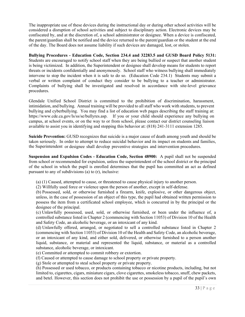The inappropriate use of these devices during the instructional day or during other school activities will be considered a disruption of school activities and subject to disciplinary action. Electronic devices may be confiscated by, and at the discretion of, a school administrator or designee. When a device is confiscated, the parent/guardian shall be notified and the device returned to the parent/guardian or the student at the end of the day. The Board does not assume liability if such devices are damaged, lost, or stolen.

**Bullying Procedures - Education Code, Section 234.4 and 32283.5 and GUSD Board Policy 5131:**  Students are encouraged to notify school staff when they are being bullied or suspect that another student is being victimized. In addition, the Superintendent or designee shall develop means for students to report threats or incidents confidentially and anonymously. School staff who witness bullying shall immediately intervene to stop the incident when it is safe to do so. (Education Code 234.1) Students may submit a verbal or written complaint of conduct they consider to be bullying to a teacher or administrator. Complaints of bullying shall be investigated and resolved in accordance with site-level grievance procedures.

Glendale Unified School District is committed to the prohibition of discrimination, harassment, intimidation, and bullying. Annual training will be provided to all staff who work with students, to prevent bullying and cyberbullying. You may find a list of education web pages describing the staff training at: https://www.cde.ca.gov/ls/ss/se/bullyres.asp. If you or your child should experience any bullying on campus, at school events, or on the way to or from school, please contact our district counseling liaison available to assist you in identifying and stopping this behavior at: (818) 241-3111 extension 1285.

**Suicide Prevention:** GUSD recognizes that suicide is a major cause of death among youth and should be taken seriously. In order to attempt to reduce suicidal behavior and its impact on students and families, the Superintendent or designee shall develop preventive strategies and intervention procedures.

**Suspension and Expulsion Codes - Education Code, Section 48900:** A pupil shall not be suspended from school or recommended for expulsion, unless the superintendent of the school district or the principal of the school in which the pupil is enrolled determines that the pupil has committed an act as defined pursuant to any of subdivisions (a) to (r), inclusive:

- (a) (1) Caused, attempted to cause, or threatened to cause physical injury to another person.
- (2) Willfully used force or violence upon the person of another, except in self-defense.

(b) Possessed, sold, or otherwise furnished a firearm, knife, explosive, or other dangerous object, unless, in the case of possession of an object of this type, the pupil had obtained written permission to possess the item from a certificated school employee, which is concurred in by the principal or the designee of the principal.

(c) Unlawfully possessed, used, sold, or otherwise furnished, or been under the influence of, a controlled substance listed in Chapter 2 (commencing with Section 11053) of Division 10 of the Health and Safety Code, an alcoholic beverage, or an intoxicant of any kind.

(d) Unlawfully offered, arranged, or negotiated to sell a controlled substance listed in Chapter 2 (commencing with Section 11053) of Division 10 of the Health and Safety Code, an alcoholic beverage, or an intoxicant of any kind, and either sold, delivered, or otherwise furnished to a person another liquid, substance, or material and represented the liquid, substance, or material as a controlled substance, alcoholic beverage, or intoxicant.

- (e) Committed or attempted to commit robbery or extortion.
- (f) Caused or attempted to cause damage to school property or private property.
- (g) Stole or attempted to steal school property or private property.

(h) Possessed or used tobacco, or products containing tobacco or nicotine products, including, but not limited to, cigarettes, cigars, miniature cigars, clove cigarettes, smokeless tobacco, snuff, chew packets, and betel. However, this section does not prohibit the use or possession by a pupil of the pupil's own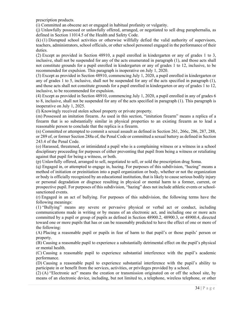prescription products.

(i) Committed an obscene act or engaged in habitual profanity or vulgarity.

(j) Unlawfully possessed or unlawfully offered, arranged, or negotiated to sell drug paraphernalia, as defined in Section 11014.5 of the Health and Safety Code.

(k) (1) Disrupted school activities or otherwise willfully defied the valid authority of supervisors, teachers, administrators, school officials, or other school personnel engaged in the performance of their duties.

(2) Except as provided in Section 48910, a pupil enrolled in kindergarten or any of grades 1 to 3, inclusive, shall not be suspended for any of the acts enumerated in paragraph (1), and those acts shall not constitute grounds for a pupil enrolled in kindergarten or any of grades 1 to 12, inclusive, to be recommended for expulsion. This paragraph is inoperative on July 1, 2020.

(3) Except as provided in Section 48910, commencing July 1, 2020, a pupil enrolled in kindergarten or any of grades 1 to 5, inclusive, shall not be suspended for any of the acts specified in paragraph (1), and those acts shall not constitute grounds for a pupil enrolled in kindergarten or any of grades 1 to 12, inclusive, to be recommended for expulsion.

(4) Except as provided in Section 48910, commencing July 1, 2020, a pupil enrolled in any of grades 6 to 8, inclusive, shall not be suspended for any of the acts specified in paragraph (1). This paragraph is inoperative on July 1, 2025.

(l) Knowingly received stolen school property or private property.

(m) Possessed an imitation firearm. As used in this section, "imitation firearm" means a replica of a firearm that is so substantially similar in physical properties to an existing firearm as to lead a reasonable person to conclude that the replica is a firearm.

(n) Committed or attempted to commit a sexual assault as defined in Section 261, 266c, 286, 287, 288, or 289 of, or former Section 288a of, the Penal Code or committed a sexual battery as defined in Section 243.4 of the Penal Code.

(o) Harassed, threatened, or intimidated a pupil who is a complaining witness or a witness in a school disciplinary proceeding for purposes of either preventing that pupil from being a witness or retaliating against that pupil for being a witness, or both.

(p) Unlawfully offered, arranged to sell, negotiated to sell, or sold the prescription drug Soma.

(q) Engaged in, or attempted to engage in, hazing. For purposes of this subdivision, "hazing" means a method of initiation or preinitiation into a pupil organization or body, whether or not the organization or body is officially recognized by an educational institution, that is likely to cause serious bodily injury or personal degradation or disgrace resulting in physical or mental harm to a former, current, or prospective pupil. For purposes of this subdivision, "hazing" does not include athletic events or schoolsanctioned events.

(r) Engaged in an act of bullying. For purposes of this subdivision, the following terms have the following meanings:

(1) "Bullying" means any severe or pervasive physical or verbal act or conduct, including communications made in writing or by means of an electronic act, and including one or more acts committed by a pupil or group of pupils as defined in Section 48900.2, 48900.3, or 48900.4, directed toward one or more pupils that has or can be reasonably predicted to have the effect of one or more of the following:

(A) Placing a reasonable pupil or pupils in fear of harm to that pupil's or those pupils' person or property.

(B) Causing a reasonable pupil to experience a substantially detrimental effect on the pupil's physical or mental health.

(C) Causing a reasonable pupil to experience substantial interference with the pupil's academic performance.

(D) Causing a reasonable pupil to experience substantial interference with the pupil's ability to participate in or benefit from the services, activities, or privileges provided by a school.

(2) (A) "Electronic act" means the creation or transmission originated on or off the school site, by means of an electronic device, including, but not limited to, a telephone, wireless telephone, or other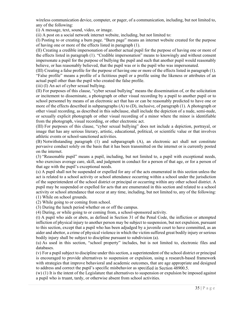wireless communication device, computer, or pager, of a communication, including, but not limited to, any of the following:

(i) A message, text, sound, video, or image.

(ii) A post on a social network internet website, including, but not limited to:

(I) Posting to or creating a burn page. "Burn page" means an internet website created for the purpose of having one or more of the effects listed in paragraph (1).

(II) Creating a credible impersonation of another actual pupil for the purpose of having one or more of the effects listed in paragraph (1). "Credible impersonation" means to knowingly and without consent impersonate a pupil for the purpose of bullying the pupil and such that another pupil would reasonably believe, or has reasonably believed, that the pupil was or is the pupil who was impersonated.

(III) Creating a false profile for the purpose of having one or more of the effects listed in paragraph (1). "False profile" means a profile of a fictitious pupil or a profile using the likeness or attributes of an actual pupil other than the pupil who created the false profile.

(iii) (I) An act of cyber sexual bullying.

(II) For purposes of this clause, "cyber sexual bullying" means the dissemination of, or the solicitation or incitement to disseminate, a photograph or other visual recording by a pupil to another pupil or to school personnel by means of an electronic act that has or can be reasonably predicted to have one or more of the effects described in subparagraphs (A) to (D), inclusive, of paragraph (1). A photograph or other visual recording, as described in this subclause, shall include the depiction of a nude, semi-nude, or sexually explicit photograph or other visual recording of a minor where the minor is identifiable from the photograph, visual recording, or other electronic act.

(III) For purposes of this clause, "cyber sexual bullying" does not include a depiction, portrayal, or image that has any serious literary, artistic, educational, political, or scientific value or that involves athletic events or school-sanctioned activities.

(B) Notwithstanding paragraph (1) and subparagraph (A), an electronic act shall not constitute pervasive conduct solely on the basis that it has been transmitted on the internet or is currently posted on the internet.

(3) "Reasonable pupil" means a pupil, including, but not limited to, a pupil with exceptional needs, who exercises average care, skill, and judgment in conduct for a person of that age, or for a person of that age with the pupil's exceptional needs.

(s) A pupil shall not be suspended or expelled for any of the acts enumerated in this section unless the act is related to a school activity or school attendance occurring within a school under the jurisdiction of the superintendent of the school district or principal or occurring within any other school district. A pupil may be suspended or expelled for acts that are enumerated in this section and related to a school activity or school attendance that occur at any time, including, but not limited to, any of the following: (1) While on school grounds.

(2) While going to or coming from school.

(3) During the lunch period whether on or off the campus.

(4) During, or while going to or coming from, a school-sponsored activity.

(t) A pupil who aids or abets, as defined in Section 31 of the Penal Code, the infliction or attempted infliction of physical injury to another person may be subject to suspension, but not expulsion, pursuant to this section, except that a pupil who has been adjudged by a juvenile court to have committed, as an aider and abettor, a crime of physical violence in which the victim suffered great bodily injury or serious bodily injury shall be subject to discipline pursuant to subdivision (a).

(u) As used in this section, "school property" includes, but is not limited to, electronic files and databases.

(v) For a pupil subject to discipline under this section, a superintendent of the school district or principal is encouraged to provide alternatives to suspension or expulsion, using a research-based framework with strategies that improve behavioral and academic outcomes, that are age appropriate and designed to address and correct the pupil's specific misbehavior as specified in Section 48900.5.

(w) (1) It is the intent of the Legislature that alternatives to suspension or expulsion be imposed against a pupil who is truant, tardy, or otherwise absent from school activities.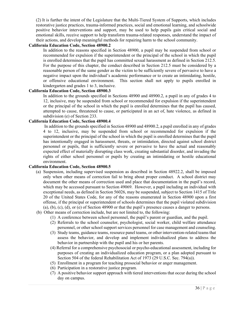(2) It is further the intent of the Legislature that the Multi-Tiered System of Supports, which includes restorative justice practices, trauma-informed practices, social and emotional learning, and schoolwide positive behavior interventions and support, may be used to help pupils gain critical social and emotional skills, receive support to help transform trauma-related responses, understand the impact of their actions, and develop meaningful methods for repairing harm to the school community.

#### **California Education Code, Section 48900.2**

 In addition to the reasons specified in Section 48900, a pupil may be suspended from school or recommended for expulsion if the superintendent or the principal of the school in which the pupil is enrolled determines that the pupil has committed sexual harassment as defined in Section 212.5. For the purpose of this chapter, the conduct described in Section 212.5 must be considered by a reasonable person of the same gender as the victim to be sufficiently severe of pervasive to have a negative impact upon the individual's academic performance or to create an intimidating, hostile, or offensive educational environment. This section shall not apply to pupils enrolled in kindergarten and grades 1 to 3, inclusive.

#### **California Education Code, Section 48900.3**

 In addition to the grounds specified in Sections 48900 and 48900.2, a pupil in any of grades 4 to 12, inclusive, may be suspended from school or recommended for expulsion if the superintendent or the principal of the school in which the pupil is enrolled determines that the pupil has caused, attempted to cause, threatened to cause, or participated in an act of, hate violence, as defined in subdivision (e) of Section 233.

#### **California Education Code, Section 48900.4**

 In addition to the grounds specified in Section 48900 and 48900.2, a pupil enrolled in any of grades 4 to 12, inclusive, may be suspended from school or recommended for expulsion if the superintendent or the principal of the school in which the pupil is enrolled determines that the pupil has intentionally engaged in harassment, threats, or intimidation, directed against school district personnel or pupils, that is sufficiently severe or pervasive to have the actual and reasonably expected effect of materially disrupting class work, creating substantial disorder, and invading the rights of either school personnel or pupils by creating an intimidating or hostile educational environment.

#### **California Education Code, Section 48900.5**

- (a) Suspension, including supervised suspension as described in Section 48922.2, shall be imposed only when other means of correction fail to bring about proper conduct. A school district may document the other means of correction used and place that documentation in the pupil's record, which may be accessed pursuant to Section 49069. However, a pupil including an individual with exceptional needs, as defined in Section 56026, may be suspended, subject to Section 1415 of Title 20 of the United States Code, for any of the reasons enumerated in Section 48900 upon a first offense, if the principal or superintendent of schools determines that the pupil violated subdivision (a), (b), (c), (d), or (e) of Section 48900 or that the pupil's presence causes a danger to persons.
- (b) Other means of correction include, but are not limited to, the following:
	- (1) A conference between school personnel, the pupil's parent or guardian, and the pupil.
	- (2) Referrals to the school counselor, psychologist, social worker, child welfare attendance personnel, or other school support services personnel for case management and counseling.
	- (3) Study teams, guidance teams, resource panel teams, or other intervention-related teams that assess the behavior, and develop and implement individualized plans to address the behavior in partnership with the pupil and his or her parents.
	- (4) Referral for a comprehensive psychosocial or psycho-educational assessment, including for purposes of creating an individualized education program, or a plan adopted pursuant to Section 504 of the federal Rehabilitation Act of 1973 (29 U.S.C. Sec. 794(a)).
	- (5) Enrollment in a program for teaching prosocial behavior or anger management.
	- (6) Participation in a restorative justice program.
	- (7) A positive behavior support approach with tiered interventions that occur during the school day on campus.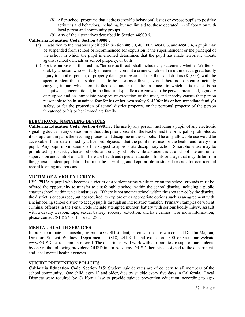- (8) After-school programs that address specific behavioral issues or expose pupils to positive activities and behaviors, including, but not limited to, those operated in collaboration with local parent and community groups.
- (9) Any of the alternatives described in Section 48900.6.

#### **California Education Code, Section 48900.7**

- (a) In addition to the reasons specified in Section 48900, 48900.2, 48900.3, and 48900.4, a pupil may be suspended from school or recommended for expulsion if the superintendent or the principal of the school in which the pupil is enrolled determines that the pupil has made terroristic threats against school officials or school property, or both
- (b) For the purposes of this section, "terroristic threat" shall include any statement, whether Written or oral, by a person who willfully threatens to commit a crime which will result in death, great bodily injury to another person, or property damage in excess of one thousand dollars (\$1,000), with the specific intent that the statement is to be takes as a threat, even if there is no intent of actually carrying it our, which, on its face and under the circumstances in which it is made, is so unequivocal, unconditional, immediate, and specific as to convey to the person threatened, a gravity of purpose and an immediate prospect of execution of the treat, and thereby causes that person reasonable to be in sustained fear for his or her own safety 51430for his or her immediate family's safety, or for the protection of school district property, or the personal property of the person threatened or his or her immediate family.

#### **ELECTRONIC SIGNALING DEVICES**

**California Education Code, Section 48901.5:** The use by any person, including a pupil, of any electronic signaling device in any classroom without the prior consent of the teacher and the principal is prohibited as it disrupts and impairs the teaching process and discipline in the schools. The only allowable use would be acceptable if it is determined by a licensed physician that the pupil must use for the health and safety of a pupil. Any pupil in violation shall be subject to appropriate disciplinary action. Smartphone use may be prohibited by districts, charter schools, and county schools while a student is at a school site and under supervision and control of staff. There are health and special education limits or usage that may differ from the general student population, but must be in writing and kept on file in student records for confidential record keeping and reasons.

#### **VICTIM OF A VIOLENT CRIME**

**USC 7912:** A pupil who becomes a victim of a violent crime while in or on the school grounds must be offered the opportunity to transfer to a safe public school within the school district, including a public charter school, within ten calendar days. If there is not another school within the area served by the district, the district is encouraged, but not required, to explore other appropriate options such as an agreement with a neighboring school district to accept pupils through an interdistrict transfer. Primary examples of violent criminal offenses in the Penal Code include attempted murder, battery with serious bodily injury, assault with a deadly weapon, rape, sexual battery, robbery, extortion, and hate crimes. For more information, please contact (818) 241-3111 ext. 1285.

#### **MENTAL HEALTH SERVICES**

In order to initiate a counseling referral a GUSD student, parents/guardians can contact Dr. Ilin Magran, Director, Student Wellness Department at (818) 241-311, and extension 1500 or visit our website www.GUSD.net to submit a referral. The department will work with our families to support our students by one of the following providers: GUSD intern Academy, GUSD therapists assigned to the department, and local mental health agencies.

#### **SUICIDE PREVENTION POLICIES**

**California Education Code, Section 215:** Student suicide rates are of concern to all members of the school community. One child, ages 12 and older, dies by suicide every five days in California. Local Districts were required by California law to provide suicide prevention education, according to age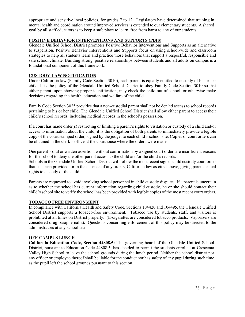appropriate and sensitive local policies, for grades 7 to 12. Legislators have determined that training in mental health and coordination around improved services is extended to our elementary students. A shared goal by all staff educators is to keep a safe place to learn, free from harm to any of our students.

#### **POSITIVE BEHAVIOR INTERVENTIONS AND SUPPORTS (PBIS)**

Glendale Unified School District promotes Positive Behavior Interventions and Supports as an alternative to suspension. Positive Behavior Interventions and Supports focus on using school-wide and classroom strategies to help all students learn and practice those behaviors that support a respectful, responsible and safe school climate. Building strong, positive relationships between students and all adults on campus is a foundational component of this framework.

#### **CUSTODY LAW NOTIFICATION**

Under California law (Family Code Section 3010), each parent is equally entitled to custody of his or her child. It is the policy of the Glendale Unified School District to obey Family Code Section 3010 so that either parent, upon showing proper identification, may check the child out of school, or otherwise make decisions regarding the health, education and welfare of the child.

Family Code Section 3025 provides that a non-custodial parent shall not be denied access to school records pertaining to his or her child. The Glendale Unified School District shall allow either parent to access their child's school records, including medical records in the school's possession.

If a court has made order(s) restricting or limiting a parent's rights to visitation or custody of a child and/or access to information about the child, it is the obligation of both parents to immediately provide a legible copy of the court stamped order, signed by the judge, to each child's school site. Copies of court orders can be obtained in the clerk's office at the courthouse where the orders were made.

One parent's oral or written assertion, without confirmation by a signed court order, are insufficient reasons for the school to deny the other parent access to the child and/or the child's records.

Schools in the Glendale Unified School District will follow the most recent signed child custody court order that has been provided, or in the absence of any orders, California law as cited above, giving parents equal rights to custody of the child.

Parents are requested to avoid involving school personnel in child custody disputes. If a parent is uncertain as to whether the school has current information regarding child custody, he or she should contact their child's school site to verify the school has been provided with legible copies of the most recent court orders.

#### **TOBACCO FREE ENVIRONMENT**

In compliance with California Health and Safety Code, Sections 104420 and 104495, the Glendale Unified School District supports a tobacco-free environment. Tobacco use by students, staff, and visitors is prohibited at all times on District property. (E-cigarettes are considered tobacco products. Vaporizers are considered drug paraphernalia). Questions concerning enforcement of this policy may be directed to the administrators at any school site.

#### **OFF-CAMPUS LUNCH**

**California Education Code, Section 44808.5:** The governing board of the Glendale Unified School District, pursuant to Education Code 44808.5, has decided to permit the students enrolled at Crescenta Valley High School to leave the school grounds during the lunch period. Neither the school district nor any officer or employee thereof shall be liable for the conduct nor has safety of any pupil during such time as the pupil left the school grounds pursuant to this section.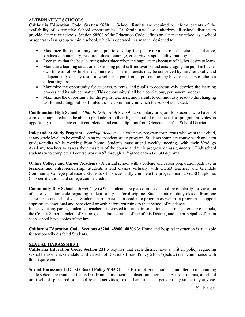#### **ALTERNATIVE SCHOOLS**

**California Education Code, Section 58501:** School districts are required to inform parents of the availability of Alternative School opportunities. California state law authorizes all school districts to provide alternative schools. Section 58500 of the Education Code defines an alternative school as a school or separate class group within a school, which is operated in a manner designed to:

- Maximize the opportunity for pupils to develop the positive values of self-reliance, initiative, kindness, spontaneity, resourcefulness, courage, creativity, responsibility, and joy.
- Recognize that the best learning takes place when the pupil learns because of his/her desire to learn.
- Maintain a learning situation maximizing pupil self-motivation and encouraging the pupil in his/her own time to follow his/her own interests. These interests may be conceived by him/her totally and independently or may result in whole or in part from a presentation by his/her teachers of choices of learning projects.
- Maximize the opportunity for teachers, parents, and pupils to cooperatively develop the learning process and its subject matter. This opportunity shall be a continuous, permanent process.
- Maximize the opportunity for the pupils, teachers, and parents to continuously react to the changing world, including, but not limited to, the community in which the school is located.

**Continuation High School** – *Allan F. Daily High School* - a voluntary program for students who have not earned enough credits to be able to graduate from their high school of residence. This program provides an opportunity to accelerate credit completion and earn a diploma from Glendale Unified School District.

**Independent Study Program** – *Verdugo Academy –* a voluntary program for parents who want their child, at any grade level, to be enrolled in an independent study program. Students complete course work and earn grades/credits while working from home. Students must attend weekly meetings with their Verdugo Academy teachers to assess their mastery of the course and their progress on assignments. High school students who complete all course work in  $9<sup>th</sup>$  through  $12<sup>th</sup>$  grade earn a GUSD diploma.

**Online College and Career Academy** - A virtual school with a college and career preparation pathway in business and entrepreneurship. Students attend classes virtually with GUSD teachers and Glendale Community College professors. Students who successfully complete the program earn a GUSD diploma, CTE certification, and college course credit.

**Community Day School** *– Jewel City CDS* – students are placed in this school involuntarily for violation of state education code regarding student safety and/or discipline. Students attend daily classes from one semester to one school year. Students participate in an academic program as well as a program to support appropriate emotional and behavioral growth before returning to their school of residence.

In the event any parent, student, or teacher is interested in further information concerning alternative schools, the County Superintendent of Schools, the administrative office of this District, and the principal's office in each school have copies of the law.

**California Education Code, Sections 48208, 48980, 48206.3:** Home and hospital instruction is available for temporarily disabled Students.

#### **SEXUAL HARASSMENT**

**California Education Code, Section 231.5** requires that each district have a written policy regarding sexual harassment. Glendale Unified School District's Board Policy 5145.7 (below) is in compliance with this requirement.

**Sexual Harassment (GUSD Board Policy 5145.7):** The Board of Education is committed to maintaining a safe school environment that is free from harassment and discrimination. The Board prohibits, at school or at school-sponsored or school-related activities, sexual harassment targeted at any student by anyone.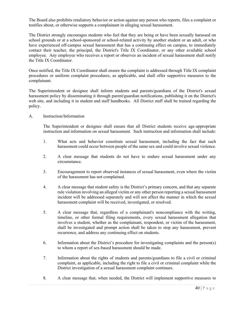The Board also prohibits retaliatory behavior or action against any person who reports, files a complaint or testifies about, or otherwise supports a complainant in alleging sexual harassment.

The District strongly encourages students who feel that they are being or have been sexually harassed on school grounds or at a school-sponsored or school-related activity by another student or an adult, or who have experienced off-campus sexual harassment that has a continuing effect on campus, to immediately contact their teacher, the principal, the District's Title IX Coordinator, or any other available school employee. Any employee who receives a report or observes an incident of sexual harassment shall notify the Title IX Coordinator.

Once notified, the Title IX Coordinator shall ensure the complaint is addressed through Title IX complaint procedures or uniform complaint procedures, as applicable, and shall offer supportive measures to the complainant.

The Superintendent or designee shall inform students and parents/guardians of the District's sexual harassment policy by disseminating it through parent/guardian notifications, publishing it on the District's web site, and including it in student and staff handbooks. All District staff shall be trained regarding the policy.

#### A. Instruction/Information

The Superintendent or designee shall ensure that all District students receive age-appropriate instruction and information on sexual harassment. Such instruction and information shall include:

- 1. What acts and behavior constitute sexual harassment, including the fact that such harassment could occur between people of the same sex and could involve sexual violence.
- 2. A clear message that students do not have to endure sexual harassment under any circumstance.
- 3. Encouragement to report observed instances of sexual harassment, even where the victim of the harassment has not complained.
- 4. A clear message that student safety is the District's primary concern, and that any separate rule violation involving an alleged victim or any other person reporting a sexual harassment incident will be addressed separately and will not affect the manner in which the sexual harassment complaint will be received, investigated, or resolved.
- 5. A clear message that, regardless of a complainant's noncompliance with the writing, timeline, or other formal filing requirements, every sexual harassment allegation that involves a student, whether as the complainant, respondent, or victim of the harassment, shall be investigated and prompt action shall be taken to stop any harassment, prevent recurrence, and address any continuing effect on students.
- 6. Information about the District's procedure for investigating complaints and the person(s) to whom a report of sex-based harassment should be made.
- 7. Information about the rights of students and parents/guardians to file a civil or criminal complaint, as applicable, including the right to file a civil or criminal complaint while the District investigation of a sexual harassment complaint continues.
- 8. A clear message that, when needed, the District will implement supportive measures to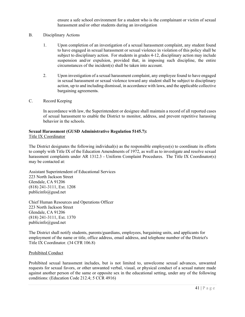ensure a safe school environment for a student who is the complainant or victim of sexual harassment and/or other students during an investigation

- B. Disciplinary Actions
	- 1. Upon completion of an investigation of a sexual harassment complaint, any student found to have engaged in sexual harassment or sexual violence in violation of this policy shall be subject to disciplinary action. For students in grades 4-12, disciplinary action may include suspension and/or expulsion, provided that, in imposing such discipline, the entire circumstances of the incident(s) shall be taken into account.
	- 2. Upon investigation of a sexual harassment complaint, any employee found to have engaged in sexual harassment or sexual violence toward any student shall be subject to disciplinary action, up to and including dismissal, in accordance with laws, and the applicable collective bargaining agreements.
- C. Record Keeping

In accordance with law, the Superintendent or designee shall maintain a record of all reported cases of sexual harassment to enable the District to monitor, address, and prevent repetitive harassing behavior in the schools.

# **Sexual Harassment (GUSD Administrative Regulation 5145.7):**

Title IX Coordinator

The District designates the following individual(s) as the responsible employee(s) to coordinate its efforts to comply with Title IX of the Education Amendments of 1972, as well as to investigate and resolve sexual harassment complaints under AR 1312.3 - Uniform Complaint Procedures. The Title IX Coordinator(s) may be contacted at:

Assistant Superintendent of Educational Services 223 North Jackson Street Glendale, CA 91206 (818) 241-3111, Ext. 1208 publicinfo@gusd.net

Chief Human Resources and Operations Officer 223 North Jackson Street Glendale, CA 91206 (818) 241-3111, Ext. 1370 publicinfo@gusd.net

The District shall notify students, parents/guardians, employees, bargaining units, and applicants for employment of the name or title, office address, email address, and telephone number of the District's Title IX Coordinator. (34 CFR 106.8)

#### Prohibited Conduct

Prohibited sexual harassment includes, but is not limited to, unwelcome sexual advances, unwanted requests for sexual favors, or other unwanted verbal, visual, or physical conduct of a sexual nature made against another person of the same or opposite sex in the educational setting, under any of the following conditions: (Education Code 212.4; 5 CCR 4916)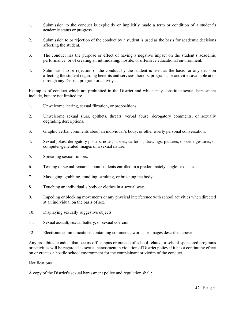- 1. Submission to the conduct is explicitly or implicitly made a term or condition of a student's academic status or progress.
- 2. Submission to or rejection of the conduct by a student is used as the basis for academic decisions affecting the student.
- 3. The conduct has the purpose or effect of having a negative impact on the student's academic performance, or of creating an intimidating, hostile, or offensive educational environment.
- 4. Submission to or rejection of the conduct by the student is used as the basis for any decision affecting the student regarding benefits and services, honors, programs, or activities available at or through any District program or activity.

Examples of conduct which are prohibited in the District and which may constitute sexual harassment include, but are not limited to:

- 1. Unwelcome leering, sexual flirtation, or propositions.
- 2. Unwelcome sexual slurs, epithets, threats, verbal abuse, derogatory comments, or sexually degrading descriptions.
- 3. Graphic verbal comments about an individual's body, or other overly personal conversation.
- 4. Sexual jokes, derogatory posters, notes, stories, cartoons, drawings, pictures, obscene gestures, or computer-generated images of a sexual nature.
- 5. Spreading sexual rumors.
- 6. Teasing or sexual remarks about students enrolled in a predominately single-sex class.
- 7. Massaging, grabbing, fondling, stroking, or brushing the body.
- 8. Touching an individual's body or clothes in a sexual way.
- 9. Impeding or blocking movements or any physical interference with school activities when directed at an individual on the basis of sex.
- 10. Displaying sexually suggestive objects.
- 11. Sexual assault, sexual battery, or sexual coercion.
- 12. Electronic communications containing comments, words, or images described above

Any prohibited conduct that occurs off campus or outside of school-related or school-sponsored programs or activities will be regarded as sexual harassment in violation of District policy if it has a continuing effect on or creates a hostile school environment for the complainant or victim of the conduct.

#### Notifications

A copy of the District's sexual harassment policy and regulation shall: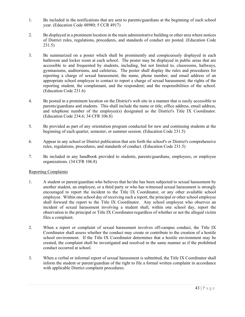- 1. Be included in the notifications that are sent to parents/guardians at the beginning of each school year. (Education Code 48980; 5 CCR 4917)
- 2. Be displayed in a prominent location in the main administrative building or other area where notices of District rules, regulations, procedures, and standards of conduct are posted. (Education Code 231.5)
- 3. Be summarized on a poster which shall be prominently and conspicuously displayed in each bathroom and locker room at each school. The poster may be displayed in public areas that are accessible to and frequented by students, including, but not limited to, classrooms, hallways, gymnasiums, auditoriums, and cafeterias. The poster shall display the rules and procedures for reporting a charge of sexual harassment; the name, phone number, and email address of an appropriate school employee to contact to report a charge of sexual harassment; the rights of the reporting student, the complainant, and the respondent; and the responsibilities of the school. (Education Code 231.6)
- 4. Be posted in a prominent location on the District's web site in a manner that is easily accessible to parents/guardians and students. This shall include the name or title, office address, email address, and telephone number of the employee(s) designated as the District's Title IX Coordinator. (Education Code 234.6; 34 CFR 106.8)
- 5. Be provided as part of any orientation program conducted for new and continuing students at the beginning of each quarter, semester, or summer session. (Education Code 231.5)
- 6. Appear in any school or District publication that sets forth the school's or District's comprehensive rules, regulations, procedures, and standards of conduct. (Education Code 231.5)
- 7. Be included in any handbook provided to students, parents/guardians, employees, or employee organizations. (34 CFR 106.8)

#### Reporting Complaints

- 1. A student or parent/guardian who believes that he/she has been subjected to sexual harassment by another student, an employee, or a third party or who has witnessed sexual harassment is strongly encouraged to report the incident to the Title IX Coordinator, or any other available school employee. Within one school day of receiving such a report, the principal or other school employee shall forward the report to the Title IX Coordinator. Any school employee who observes an incident of sexual harassment involving a student shall, within one school day, report the observation to the principal or Title IX Coordinator regardless of whether or not the alleged victim files a complaint.
- 2. When a report or complaint of sexual harassment involves off-campus conduct, the Title IX Coordinator shall assess whether the conduct may create or contribute to the creation of a hostile school environment. If the Title IX Coordinator determines that a hostile environment may be created, the complaint shall be investigated and resolved in the same manner as if the prohibited conduct occurred at school.
- 3. When a verbal or informal report of sexual harassment is submitted, the Title IX Coordinator shall inform the student or parent/guardian of the right to file a formal written complaint in accordance with applicable District complaint procedures.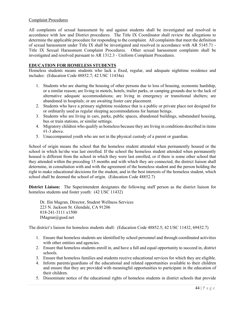#### Complaint Procedures

All complaints of sexual harassment by and against students shall be investigated and resolved in accordance with law and District procedures. The Title IX Coordinator shall review the allegations to determine the applicable procedure for responding to the complaint. All complaints that meet the definition of sexual harassment under Title IX shall be investigated and resolved in accordance with AR 5145.71 - Title IX Sexual Harassment Complaint Procedures. Other sexual harassment complaints shall be investigated and resolved pursuant to AR 1312.3 - Uniform Complaint Procedures.

#### **EDUCATION FOR HOMELESS STUDENTS**

Homeless students means students who lack a fixed, regular, and adequate nighttime residence and includes: (Education Code 48852.7; 42 USC 11434a)

- 1. Students who are sharing the housing of other persons due to loss of housing, economic hardship, or a similar reason; are living in motels, hotels, trailer parks, or camping grounds due to the lack of alternative adequate accommodations; are living in emergency or transitional shelters; are abandoned in hospitals; or are awaiting foster care placement.
- 2. Students who have a primary nighttime residence that is a public or private place not designed for or ordinarily used as regular sleeping accommodations for human beings.
- 3. Students who are living in cars, parks, public spaces, abandoned buildings, substandard housing, bus or train stations, or similar settings.
- 4. Migratory children who qualify as homeless because they are living in conditions described in items #1-3 above.
- 5. Unaccompanied youth who are not in the physical custody of a parent or guardian.

School of origin means the school that the homeless student attended when permanently housed or the school in which he/she was last enrolled. If the school the homeless student attended when permanently housed is different from the school in which they were last enrolled, or if there is some other school that they attended within the preceding 15 months and with which they are connected, the district liaison shall determine, in consultation with and with the agreement of the homeless student and the person holding the right to make educational decisions for the student, and in the best interests of the homeless student, which school shall be deemed the school of origin. (Education Code 48852.7)

**District Liaison:** The Superintendent designates the following staff person as the district liaison for homeless students and foster youth: (42 USC 11432)

 Dr. Ilin Magran, Director, Student Wellness Services 223 N. Jackson St. Glendale, CA 91206 818-241-3111 x1500 IMagran@gusd.net

The district's liaison for homeless students shall: (Education Code 48852.5; 42 USC 11432, 69432.7)

- 1. Ensure that homeless students are identified by school personnel and through coordinated activities with other entities and agencies.
- 2. Ensure that homeless students enroll in, and have a full and equal opportunity to succeed in, district schools.
- 3. Ensure that homeless families and students receive educational services for which they are eligible.
- 4. Inform parents/guardians of the educational and related opportunities available to their children and ensure that they are provided with meaningful opportunities to participate in the education of their children.
- 5. Disseminate notice of the educational rights of homeless students in district schools that provide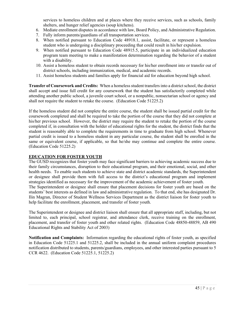services to homeless children and at places where they receive services, such as schools, family shelters, and hunger relief agencies (soup kitchens).

- 6. Mediate enrollment disputes in accordance with law, Board Policy, and Administrative Regulation.
- 7. Fully inform parents/guardians of all transportation services.
- 8. When notified pursuant to Education Code 48918.1, assist, facilitate, or represent a homeless student who is undergoing a disciplinary proceeding that could result in his/her expulsion.
- 9. When notified pursuant to Education Code 48915.5, participate in an individualized education program team meeting to make a manifestation determination regarding the behavior of a student with a disability.
- 10. Assist a homeless student to obtain records necessary for his/her enrollment into or transfer out of district schools, including immunization, medical, and academic records.
- 11. Assist homeless students and families apply for financial aid for education beyond high school.

**Transfer of Coursework and Credits:** When a homeless student transfers into a district school, the district shall accept and issue full credit for any coursework that the student has satisfactorily completed while attending another public school, a juvenile court school, or a nonpublic, nonsectarian school or agency and shall not require the student to retake the course. (Education Code 51225.2)

If the homeless student did not complete the entire course, the student shall be issued partial credit for the coursework completed and shall be required to take the portion of the course that they did not complete at his/her previous school. However, the district may require the student to retake the portion of the course completed if, in consultation with the holder of educational rights for the student, the district finds that the student is reasonably able to complete the requirements in time to graduate from high school. Whenever partial credit is issued to a homeless student in any particular course, the student shall be enrolled in the same or equivalent course, if applicable, so that he/she may continue and complete the entire course. (Education Code 51225.2)

#### **EDUCATION FOR FOSTER YOUTH**

The GUSD recognizes that foster youth may face significant barriers to achieving academic success due to their family circumstances, disruption to their educational program, and their emotional, social, and other health needs. To enable such students to achieve state and district academic standards, the Superintendent or designee shall provide them with full access to the district's educational program and implement strategies identified as necessary for the improvement of the academic achievement of foster youth.

The Superintendent or designee shall ensure that placement decisions for foster youth are based on the students' best interests as defined in law and administrative regulation. To that end, she has designated Dr. Ilin Magran, Director of Student Wellness Services Department as the district liaison for foster youth to help facilitate the enrollment, placement, and transfer of foster youth.

The Superintendent or designee and district liaison shall ensure that all appropriate staff, including, but not limited to, each principal, school registrar, and attendance clerk, receive training on the enrollment, placement, and transfer of foster youth and other related rights. (Education Code 48850-48859, AB 490 Educational Rights and Stability Act of 2003)

**Notification and Complaints:** Information regarding the educational rights of foster youth, as specified in Education Code 51225.1 and 51225.2, shall be included in the annual uniform complaint procedures notification distributed to students, parents/guardians, employees, and other interested parties pursuant to 5 CCR 4622. (Education Code 51225.1, 51225.2)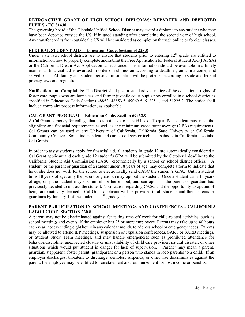#### **RETROACTIVE GRANT OF HIGH SCHOOL DIPLOMAS: DEPARTED AND DEPROTED PUPILS - EC 51430**

The governing board of the Glendale Unified School District may award a diploma to any student who may have been deported outside the US, if in good standing after completing the second year of high school. Any transfer credits from outside the US will be considered as completion through online or foreign classes.

#### **FEDERAL STUDENT AID – Education Code, Section 51225.8**

Under state law, school districts are to ensure that students prior to entering  $12<sup>th</sup>$  grade are entitled to information on how to properly complete and submit the Free Application for Federal Student Aid (FAFSA) or the California Dream Act Application at least once. This information should be available in a timely manner as financial aid is awarded in order of submission according to deadlines, on a first-come, first served basis. All family and student personal information will be protected according to state and federal privacy laws and regulations.

**Notification and Complaints:** The District shall post a standardized notice of the educational rights of foster care, pupils who are homeless, and former juvenile court pupils now enrolled in a school district as specified in Education Code Sections 48853, 48853.5, 49069.5, 51225.1, and 51225.2. The notice shall include complaint process information, as applicable.

#### **CAL GRANT PROGRAM – Education Code, Section 69432.9**

A Cal Grant is money for college that does not have to be paid back. To qualify, a student must meet the eligibility and financial requirements as well as any minimum grade point average (GPA) requirements. Cal Grants can be used at any University of California, California State University or California Community College. Some independent and career colleges or technical schools in California also take Cal Grants.

In order to assist students apply for financial aid, all students in grade 12 are automatically considered a Cal Grant applicant and each grade 12 student's GPA will be submitted by the October 1 deadline to the California Student Aid Commission (CASC) electronically by a school or school district official. A student, or the parent or guardian of a student under 18 years of age, may complete a form to indicate that he or she does not wish for the school to electronically send CASC the student's GPA. Until a student turns 18 years of age, only the parent or guardian may opt out the student. Once a student turns 18 years of age, only the student may opt himself or herself out, and can opt in if the parent or guardian had previously decided to opt out the student. Notification regarding CASC and the opportunity to opt out of being automatically deemed a Cal Grant applicant will be provided to all students and their parents or guardians by January 1 of the students'  $11<sup>th</sup>$  grade year.

#### **PARENT PARTICIPATION IN SCHOOL MEETINGS AND CONFERENCES - CALIFORNIA LABOR CODE, SECTION 230.8**

A parent may not be discriminated against for taking time off work for child-related activities, such as school meetings and events, if the employer has 25 or more employees. Parents may take up to 40 hours each year, not exceeding eight hours in any calendar month, to address school or emergency needs. Parents may be allowed to attend IEP meetings, suspension or expulsion conferences, SART or SARB meetings, or Student Study Team meetings, and may handle emergencies such as prohibited attendance for behavior/discipline, unexpected closure or unavailability of child care provider, natural disaster, or other situations which would put student in danger for lack of supervision. "Parent" may mean a parent, guardian, stepparent, foster parent, grandparent or a person who stands in loco parentis to a child. If an employer discharges, threatens to discharge, demotes, suspends, or otherwise discriminates against the parent, the employee may be entitled to reinstatement and reimbursement for lost income or benefits.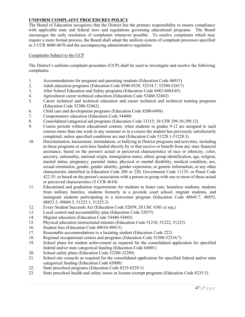#### **UNIFORM COMPLAINT PROCEDURES POLICY**

The Board of Education recognizes that the District has the primary responsibility to ensure compliance with applicable state and federal laws and regulations governing educational programs. The Board encourages the early resolution of complaints whenever possible. To resolve complaints which may require a more formal process, the Board shall adopt the uniform system of complaint processes specified in 5 CCR 4600-4670 and the accompanying administrative regulation.

#### Complaints Subject to the UCP

The District's uniform complaint procedure (UCP) shall be used to investigate and resolve the following complaints:

- 1. Accommodations for pregnant and parenting students (Education Code 46015)
- 2. Adult education programs (Education Code 8500-8538, 52334.7, 52500-52617)
- 3. After School Education and Safety programs (Education Code 8482-8484.65)
- 4. Agricultural career technical education (Education Code 52460-52462)
- 5. Career technical and technical education and career technical and technical training programs (Education Code 52300-52462)
- 6. Child care and development programs (Education Code 8200-8498)
- 7. Compensatory education (Education Code 54400)
- 8. Consolidated categorical aid programs (Education Code 33315; 34 CFR 299.10-299.12)
- 9. Course periods without educational content, when students in grades 9-12 are assigned to such courses more than one week in any semester or in a course the student has previously satisfactorily completed, unless specified conditions are met (Education Code 51228.1-51228.3)
- 10. Discrimination, harassment, intimidation, or bullying in District programs and activities, including in those programs or activities funded directly by or that receive or benefit from any state financial assistance, based on the person's actual or perceived characteristics of race or ethnicity, color, ancestry, nationality, national origin, immigration status, ethnic group identification, age, religion, marital status, pregnancy, parental status, physical or mental disability, medical condition, sex, sexual orientation, gender, gender identity, gender expression, or genetic information, or any other characteristic identified in Education Code 200 or 220, Government Code 11135, or Penal Code 422.55, or based on the person's association with a person or group with one or more of these actual or perceived characteristics (5 CCR 4610)
- 11. Educational and graduation requirements for students in foster care, homeless students, students from military families, students formerly in a juvenile court school, migrant students, and immigrant students participating in a newcomer program (Education Code 48645.7, 48853, 48853.5, 49069.5, 51225.1, 51225.2)
- 12. Every Student Succeeds Act (Education Code 52059; 20 USC 6301 et seq.)
- 13. Local control and accountability plan (Education Code 52075)
- 14. Migrant education (Education Code 54440-54445)
- 15. Physical education instructional minutes (Education Code 51210, 51222, 51223)
- 16. Student fees (Education Code 49010-49013)
- 17. Reasonable accommodations to a lactating student (Education Code 222)
- 18. Regional occupational centers and programs (Education Code 52300-52334.7)
- 19. School plans for student achievement as required for the consolidated application for specified federal and/or state categorical funding (Education Code 64001)
- 20. School safety plans (Education Code 32280-32289)
- 21. School site councils as required for the consolidated application for specified federal and/or state categorical funding (Education Code 65000)
- 22. State preschool programs (Education Code 8235-8239.1)
- 23. State preschool health and safety issues in license-exempt programs (Education Code 8235.5)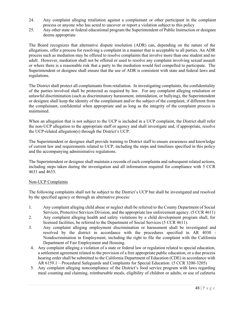- 24. Any complaint alleging retaliation against a complainant or other participant in the complaint process or anyone who has acted to uncover or report a violation subject to this policy
- 25. Any other state or federal educational program the Superintendent of Public Instruction or designee deems appropriate

The Board recognizes that alternative dispute resolution (ADR) can, depending on the nature of the allegations, offer a process for resolving a complaint in a manner that is acceptable to all parties. An ADR process such as mediation may be offered to resolve complaints that involve more than one student and no adult. However, mediation shall not be offered or used to resolve any complaint involving sexual assault or where there is a reasonable risk that a party to the mediation would feel compelled to participate. The Superintendent or designee shall ensure that the use of ADR is consistent with state and federal laws and regulations.

The District shall protect all complainants from retaliation. In investigating complaints, the confidentiality of the parties involved shall be protected as required by law. For any complaint alleging retaliation or unlawful discrimination (such as discriminatory harassment, intimidation, or bullying), the Superintendent or designee shall keep the identity of the complainant and/or the subject of the complaint, if different from the complainant, confidential when appropriate and as long as the integrity of the complaint process is maintained.

When an allegation that is not subject to the UCP is included in a UCP complaint, the District shall refer the non-UCP allegation to the appropriate staff or agency and shall investigate and, if appropriate, resolve the UCP-related allegation(s) through the District's UCP.

The Superintendent or designee shall provide training to District staff to ensure awareness and knowledge of current law and requirements related to UCP, including the steps and timelines specified in this policy and the accompanying administrative regulations.

The Superintendent or designee shall maintain a records of each complaints and subsequent related actions, including steps taken during the investigation and all information required for compliance with 5 CCR 4631 and 4633.

#### Non-UCP Complaints

The following complaints shall not be subject to the District's UCP but shall be investigated and resolved by the specified agency or through an alternative process:

- 1. Any complaint alleging child abuse or neglect shall be referred to the County Department of Social Services, Protective Services Division, and the appropriate law enforcement agency. (5 CCR 4611)
- 2. Any complaint alleging health and safety violations by a child development program shall, for licensed facilities, be referred to the Department of Social Services (5 CCR 4611).
- 3. Any complaint alleging employment discrimination or harassment shall be investigated and resolved by the district in accordance with the procedures specified in AR 4030 - Nondiscrimination in Employment, including the right to file the complaint with the California Department of Fair Employment and Housing.
- 4. Any complaint alleging a violation of a state or federal law or regulation related to special education, a settlement agreement related to the provision of a free appropriate public education, or a due process hearing order shall be submitted to the California Department of Education (CDE) in accordance with AR 6159.1 – Procedural Safeguards and Complaints for Special Education. (5 CCR 3200-3205)
- 5. Any complaint alleging noncompliance of the District's food service program with laws regarding meal counting and claiming, reimbursable meals, eligibility of children or adults, or use of cafeteria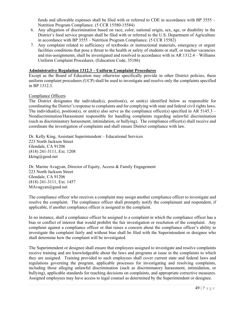funds and allowable expenses shall be filed with or referred to CDE in accordance with BP 3555 – Nutrition Program Compliance. (5 CCR 15580-15584)

- 6. Any allegation of discrimination based on race, color, national origin, sex, age, or disability in the District's food service program shall be filed with or referred to the U.S. Department of Agriculture in accordance with BP 3555 – Nutrition Program Compliance. (5 CCR 15582)
- 7. Any complaint related to sufficiency of textbooks or instructional materials, emergency or urgent facilities conditions that pose a threat to the health or safety of students or staff, or teacher vacancies and mis-assignments, shall be investigated and resolved in accordance with in AR 1312.4 – Williams Uniform Complaint Procedures. (Education Code, 35186)

#### **Administrative Regulation 1312.3 – Uniform Complaint Procedures**

Except as the Board of Education may otherwise specifically provide in other District policies, these uniform complaint procedures (UCP) shall be used to investigate and resolve only the complaints specified in BP 1312.3.

#### Compliance Officers

The District designates the individual(s), position(s), or unit(s) identified below as responsible for coordinating the District's response to complaints and for complying with state and federal civil rights laws. The individual(s), position(s), or unit(s) also serve as the compliance officer(s) specified in AR 5145.3 – Nondiscrimination/Harassment responsible for handling complaints regarding unlawful discrimination (such as discriminatory harassment, intimidation, or bullying). The compliance officer(s) shall receive and coordinate the investigation of complaints and shall ensure District compliance with law.

Dr. Kelly King, Assistant Superintendent – Educational Services 223 North Jackson Street Glendale, CA 91206 (818) 241-3111, Ext. 1208 kking@gusd.net

Dr. Marine Avagyan, Director of Equity, Access & Family Engagement 223 North Jackson Street Glendale, CA 91206 (818) 241-3111, Ext. 1457 MAvagyan@gusd.net

The compliance officer who receives a complaint may assign another compliance officer to investigate and resolve the complaint. The compliance officer shall promptly notify the complainant and respondent, if applicable, if another compliance officer is assigned to the complaint.

In no instance, shall a compliance officer be assigned to a complaint in which the compliance officer has a bias or conflict of interest that would prohibit the fair investigation or resolution of the complaint. Any complaint against a compliance officer or that raises a concern about the compliance officer's ability to investigate the complaint fairly and without bias shall be filed with the Superintendent or designee who shall determine how the complaint will be investigated.

The Superintendent or designee shall ensure that employees assigned to investigate and resolve complaints receive training and are knowledgeable about the laws and programs at issue in the complaints to which they are assigned. Training provided to such employees shall cover current state and federal laws and regulations governing the program, applicable processes for investigating and resolving complaints, including those alleging unlawful discrimination (such as discriminatory harassment, intimidation, or bullying), applicable standards for reaching decisions on complaints, and appropriate corrective measures. Assigned employees may have access to legal counsel as determined by the Superintendent or designee.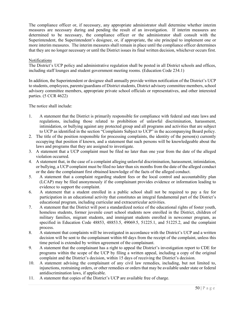The compliance officer or, if necessary, any appropriate administrator shall determine whether interim measures are necessary during and pending the result of an investigation. If interim measures are determined to be necessary, the compliance officer or the administrator shall consult with the Superintendent, the Superintendent's designee, or, if appropriate, the site principal to implement one or more interim measures. The interim measures shall remain in place until the compliance officer determines that they are no longer necessary or until the District issues its final written decision, whichever occurs first.

#### Notifications

The District's UCP policy and administrative regulation shall be posted in all District schools and offices, including staff lounges and student government meeting rooms. (Education Code 234.1)

In addition, the Superintendent or designee shall annually provide written notification of the District's UCP to students, employees, parents/guardians of District students, District advisory committee members, school advisory committee members, appropriate private school officials or representatives, and other interested parties. (5 CCR 4622)

The notice shall include:

- 1. A statement that the District is primarily responsible for compliance with federal and state laws and regulations, including those related to prohibition of unlawful discrimination, harassment, intimidation, or bullying against any protected group and all programs and activities that are subject to UCP as identified in the section "Complaints Subject to UCP" in the accompanying Board policy.
- 2. The title of the position responsible for processing complaints, the identity of the person(s) currently occupying that position if known, and a statement that such persons will be knowledgeable about the laws and programs that they are assigned to investigate.
- 3. A statement that a UCP complaint must be filed no later than one year from the date of the alleged violation occurred.
- 4. A statement that, in the case of a complaint alleging unlawful discrimination, harassment, intimidation, or bullying, a UCP complaint must be filed no later than six months from the date of the alleged conduct or the date the complainant first obtained knowledge of the facts of the alleged conduct.
- 5. A statement that a complaint regarding student fees or the local control and accountability plan (LCAP) may be filed anonymously if the complainant provides evidence or information leading to evidence to support the complaint.
- 6. A statement that a student enrolled in a public school shall not be required to pay a fee for participation in an educational activity that constitutes an integral fundamental part of the District's educational program, including curricular and extracurricular activities.
- 7. A statement that the District will post a standardized notice of the educational rights of foster youth, homeless students, former juvenile court school students now enrolled in the District, children of military families, migrant students, and immigrant students enrolled in newcomer program, as specified in Education Code 48853, 48853.5, 49069.5, 51225.1, and 51225.2, and the complaint process.
- 8. A statement that complaints will be investigated in accordance with the District's UCP and a written decision will be sent to the complainant within 60 days from the receipt of the complaint, unless this time period is extended by written agreement of the complainant.
- 9. A statement that the complainant has a right to appeal the District's investigation report to CDE for programs within the scope of the UCP by filing a written appeal, including a copy of the original complaint and the District's decision, within 15 days of receiving the District's decision.
- 10. A statement advising the complainant of any civil law remedies, including, but not limited to, injunctions, restraining orders, or other remedies or orders that may be available under state or federal antidiscrimination laws, if applicable.
- 11. A statement that copies of the District's UCP are available free of charge.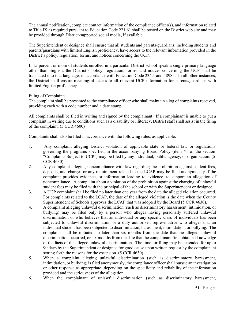The annual notification, complete contact information of the compliance officer(s), and information related to Title IX as required pursuant to Education Code 221.61 shall be posted on the District web site and may be provided through District-supported social media, if available.

The Superintendent or designee shall ensure that all students and parents/guardians, including students and parents/guardians with limited English proficiency, have access to the relevant information provided in the District's policy, regulation, forms, and notices concerning the UCP.

If 15 percent or more of students enrolled in a particular District school speak a single primary language other than English, the District's policy, regulation, forms, and notices concerning the UCP shall be translated into that language, in accordance with Education Code 234.1 and 48985. In all other instances, the District shall ensure meaningful access to all relevant UCP information for parents/guardians with limited English proficiency.

#### Filing of Complaints

The complaint shall be presented to the compliance officer who shall maintain a log of complaints received, providing each with a code number and a date stamp.

All complaints shall be filed in writing and signed by the complainant. If a complainant is unable to put a complaint in writing due to conditions such as a disability or illiteracy, District staff shall assist in the filing of the complaint. (5 CCR 4600)

Complaints shall also be filed in accordance with the following rules, as applicable:

- 1. Any complaint alleging District violation of applicable state or federal law or regulations governing the programs specified in the accompanying Board Policy (item #1 of the section "Complaints Subject to UCP") may be filed by any individual, public agency, or organization. (5 CCR 4630)
- 2. Any complaint alleging noncompliance with law regarding the prohibition against student fees, deposits, and charges or any requirement related to the LCAP may be filed anonymously if the complaint provides evidence, or information leading to evidence, to support an allegation of noncompliance. A complaint about a violation of the prohibition against the charging of unlawful student fees may be filed with the principal of the school or with the Superintendent or designee.
- 3. A UCP complaint shall be filed no later than one year from the date the alleged violation occurred. For complaints related to the LCAP, the date of the alleged violation is the date when the County Superintendent of Schools approves the LCAP that was adopted by the Board (5 CCR 4630).
- 4. A complaint alleging unlawful discrimination (such as discriminatory harassment, intimidation, or bullying) may be filed only by a person who alleges having personally suffered unlawful discrimination or who believes that an individual or any specific class of individuals has been subjected to unlawful discrimination or a duly authorized representative who alleges that an individual student has been subjected to discrimination, harassment, intimidation, or bullying. The complaint shall be initiated no later than six months from the date that the alleged unlawful discrimination occurred, or six months from the date that the complainant first obtained knowledge of the facts of the alleged unlawful discrimination. The time for filing may be extended for up to 90 days by the Superintendent or designee for good cause upon written request by the complainant setting forth the reasons for the extension. (5 CCR 4630)
- 5. When a complaint alleging unlawful discrimination (such as discriminatory harassment, intimidation, or bullying) is filed anonymously, the compliance officer shall pursue an investigation or other response as appropriate, depending on the specificity and reliability of the information provided and the seriousness of the allegation.
- 6. When the complainant of unlawful discrimination (such as discriminatory harassment,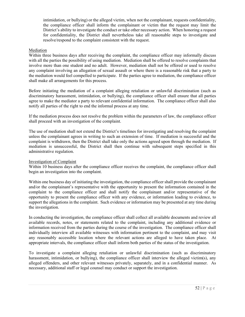intimidation, or bullying) or the alleged victim, when not the complainant, requests confidentiality, the compliance officer shall inform the complainant or victim that the request may limit the District's ability to investigate the conduct or take other necessary action. When honoring a request for confidentiality, the District shall nevertheless take all reasonable steps to investigate and resolve/respond to the complaint consistent with the request.

#### Mediation

Within three business days after receiving the complaint, the compliance officer may informally discuss with all the parties the possibility of using mediation. Mediation shall be offered to resolve complaints that involve more than one student and no adult. However, mediation shall not be offered or used to resolve any complaint involving an allegation of sexual assault or where there is a reasonable risk that a party to the mediation would feel compelled to participate. If the parties agree to mediation, the compliance officer shall make all arrangements for this process.

Before initiating the mediation of a complaint alleging retaliation or unlawful discrimination (such as discriminatory harassment, intimidation, or bullying), the compliance officer shall ensure that all parties agree to make the mediator a party to relevant confidential information. The compliance officer shall also notify all parties of the right to end the informal process at any time.

If the mediation process does not resolve the problem within the parameters of law, the compliance officer shall proceed with an investigation of the complaint.

The use of mediation shall not extend the District's timelines for investigating and resolving the complaint unless the complainant agrees in writing to such an extension of time. If mediation is successful and the complaint is withdrawn, then the District shall take only the actions agreed upon through the mediation. If mediation is unsuccessful, the District shall then continue with subsequent steps specified in this administrative regulation.

#### Investigation of Complaint

Within 10 business days after the compliance officer receives the complaint, the compliance officer shall begin an investigation into the complaint.

Within one business day of initiating the investigation, the compliance officer shall provide the complainant and/or the complainant's representative with the opportunity to present the information contained in the complaint to the compliance officer and shall notify the complainant and/or representative of the opportunity to present the compliance officer with any evidence, or information leading to evidence, to support the allegations in the complaint. Such evidence or information may be presented at any time during the investigation.

In conducting the investigation, the compliance officer shall collect all available documents and review all available records, notes, or statements related to the complaint, including any additional evidence or information received from the parties during the course of the investigation. The compliance officer shall individually interview all available witnesses with information pertinent to the complaint, and may visit any reasonably accessible location where the relevant actions are alleged to have taken place. At appropriate intervals, the compliance officer shall inform both parties of the status of the investigation.

To investigate a complaint alleging retaliation or unlawful discrimination (such as discriminatory harassment, intimidation, or bullying), the compliance officer shall interview the alleged victim(s), any alleged offenders, and other relevant witnesses privately, separately, and in a confidential manner. As necessary, additional staff or legal counsel may conduct or support the investigation.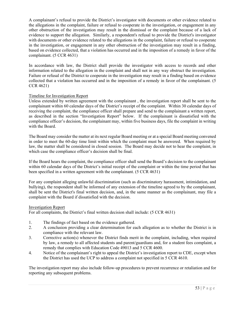A complainant's refusal to provide the District's investigator with documents or other evidence related to the allegations in the complaint, failure or refusal to cooperate in the investigation, or engagement in any other obstruction of the investigation may result in the dismissal or the complaint because of a lack of evidence to support the allegation. Similarly, a respondent's refusal to provide the District's investigator with documents or other evidence related to the allegations in the complaint, failure or refusal to cooperate in the investigation, or engagement in any other obstruction of the investigation may result in a finding, based on evidence collected, that a violation has occurred and in the imposition of a remedy in favor of the complainant. (5 CCR 4631)

In accordance with law, the District shall provide the investigator with access to records and other information related to the allegation in the complaint and shall not in any way obstruct the investigation. Failure or refusal of the District to cooperate in the investigation may result in a finding based on evidence collected that a violation has occurred and in the imposition of a remedy in favor of the complainant. (5 CCR 4621)

#### Timeline for Investigation Report

Unless extended by written agreement with the complainant , the investigation report shall be sent to the complainant within 60 calendar days of the District's receipt of the complaint. Within 30 calendar days of receiving the complaint, the compliance officer shall prepare and send to the complainant a written report, as described in the section "Investigation Report" below. If the complainant is dissatisfied with the compliance officer's decision, the complainant may, within five business days, file the complaint in writing with the Board.

The Board may consider the matter at its next regular Board meeting or at a special Board meeting convened in order to meet the 60-day time limit within which the complaint must be answered. When required by law, the matter shall be considered in closed session. The Board may decide not to hear the complaint, in which case the compliance officer's decision shall be final.

If the Board hears the complaint, the compliance officer shall send the Board's decision to the complainant within 60 calendar days of the District's initial receipt of the complaint or within the time period that has been specified in a written agreement with the complainant. (5 CCR 4631)

For any complaint alleging unlawful discrimination (such as discriminatory harassment, intimidation, and bullying), the respondent shall be informed of any extension of the timeline agreed to by the complainant, shall be sent the District's final written decision, and, in the same manner as the complainant, may file a complaint with the Board if dissatisfied with the decision.

#### Investigation Report

For all complaints, the District's final written decision shall include: (5 CCR 4631)

- 1. The findings of fact based on the evidence gathered.
- 2. A conclusion providing a clear determination for each allegation as to whether the District is in compliance with the relevant law.
- 3. Corrective action(s) whenever the District finds merit in the complaint, including, when required by law, a remedy to all affected students and parent/guardians and, for a student fees complaint, a remedy that complies with Education Code 49013 and 5 CCR 4600.
- 4. Notice of the complainant's right to appeal the District's investigation report to CDE, except when the District has used the UCP to address a complaint not specified in 5 CCR 4610.

The investigation report may also include follow-up procedures to prevent recurrence or retaliation and for reporting any subsequent problems.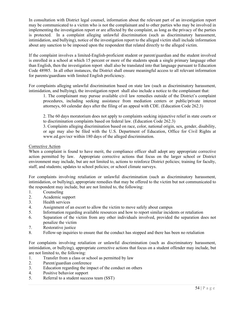In consultation with District legal counsel, information about the relevant part of an investigation report may be communicated to a victim who is not the complainant and to other parties who may be involved in implementing the investigation report or are affected by the complaint, as long as the privacy of the parties is protected. In a complaint alleging unlawful discrimination (such as discriminatory harassment, intimidation, and bullying), notice of the investigation report to the alleged victim shall include information about any sanction to be imposed upon the respondent that related directly to the alleged victim.

If the complaint involves a limited-English-proficient student or parent/guardian and the student involved is enrolled in a school at which 15 percent or more of the students speak a single primary language other than English, then the investigation report shall also be translated into that language pursuant to Education Code 48985. In all other instances, the District shall ensure meaningful access to all relevant information for parents/guardians with limited English proficiency.

For complaints alleging unlawful discrimination based on state law (such as discriminatory harassment, intimidation, and bullying), the investigation report shall also include a notice to the complainant that:

1. The complainant may pursue available civil law remedies outside of the District's complaint procedures, including seeking assistance from mediation centers or public/private interest attorneys, 60 calendar days after the filing of an appeal with CDE. (Education Code 262.3)

2. The 60 days moratorium does not apply to complaints seeking injunctive relief in state courts or to discrimination complaints based on federal law. (Education Code 262.3)

3. Complaints alleging discrimination based on race, color, national origin, sex, gender, disability, or age may also be filed with the U.S. Department of Education, Office for Civil Rights at www.ed.gov/ocr within 180 days of the alleged discrimination.

#### Corrective Action

When a complaint is found to have merit, the compliance officer shall adopt any appropriate corrective action permitted by law. Appropriate corrective actions that focus on the larger school or District environment may include, but are not limited to, actions to reinforce District policies; training for faculty, staff, and students; updates to school policies; or school climate surveys.

For complaints involving retaliation or unlawful discrimination (such as discriminatory harassment, intimidation, or bullying), appropriate remedies that may be offered to the victim but not communicated to the respondent may include, but are not limited to, the following:

- 1. Counseling
- 2. Academic support
- 3. Health services
- 4. Assignment of an escort to allow the victim to move safely about campus
- 5. Information regarding available resources and how to report similar incidents or retaliation
- 6. Separation of the victim from any other individuals involved, provided the separation does not penalize the victim
- 7. Restorative justice
- 8. Follow-up inquiries to ensure that the conduct has stopped and there has been no retaliation

For complaints involving retaliation or unlawful discrimination (such as discriminatory harassment, intimidation, or bullying), appropriate corrective actions that focus on a student offender may include, but are not limited to, the following:

- 1. Transfer from a class or school as permitted by law
- 2. Parent/guardian conference
- 3. Education regarding the impact of the conduct on others
- 4. Positive behavior support
- 5. Referral to a student success team (SST)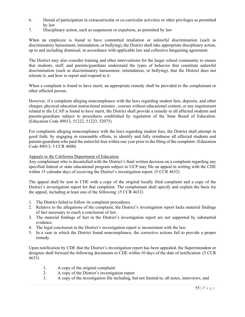- 6. Denial of participation in extracurricular or co-curricular activities or other privileges as permitted by law
- 7. Disciplinary action, such as suspension or expulsion, as permitted by law

When an employee is found to have committed retaliation or unlawful discrimination (such as discriminatory harassment, intimidation, or bullying), the District shall take appropriate disciplinary action, up to and including dismissal, in accordance with applicable law and collective bargaining agreement.

The District may also consider training and other interventions for the larger school community to ensure that students, staff, and parents/guardians understand the types of behavior that constitute unlawful discrimination (such as discriminatory harassment, intimidation, or bullying), that the District does not tolerate it, and how to report and respond to it.

When a complaint is found to have merit, an appropriate remedy shall be provided to the complainant or other affected person.

However, if a complaint alleging noncompliance with the laws regarding student fees, deposits, and other charges, physical education instructional minutes , courses without educational content, or any requirement related to the LCAP is found to have merit, the District shall provide a remedy to all affected students and parents/guardians subject to procedures established by regulation of the State Board of Education. (Education Code 49013, 51222, 51223, 52075)

For complaints alleging noncompliance with the laws regarding student fees, the District shall attempt in good faith, by engaging in reasonable efforts, to identify and fully reimburse all affected students and parents/guardians who paid the unlawful fees within one year prior to the filing of the complaint. (Education Code 49013; 5 CCR 4600)

#### Appeals to the California Department of Education

Any complainant who is dissatisfied with the District's final written decision on a complaint regarding any specified federal or state educational program subject to UCP may file an appeal in writing with the CDE within 15 calendar days of receiving the District's investigation report. (5 CCR 4632)

The appeal shall be sent to CDE with a copy of the original locally filed complaint and a copy of the District's investigation report for that complaint. The complainant shall specify and explain the basis for the appeal, including at least one of the following: (5 CCR 4632)

- 1. The District failed to follow its complaint procedures.
- 2. Relative to the allegations of the complaint, the District's investigation report lacks material findings of fact necessary to reach a conclusion of law.
- 3. The material findings of fact in the District's investigation report are not supported by substantial evidence.
- 4. The legal conclusion in the District's investigation report is inconsistent with the law.
- 5. In a case in which the District found noncompliance, the corrective actions fail to provide a proper remedy.

Upon notification by CDE that the District's investigation report has been appealed, the Superintendent or designee shall forward the following documents to CDE within 10 days of the date of notification: (5 CCR 4633)

- 1. A copy of the original complaint
- 2. A copy of the District's investigation report
- 3. A copy of the investigation file including, but not limited to, all notes, interviews, and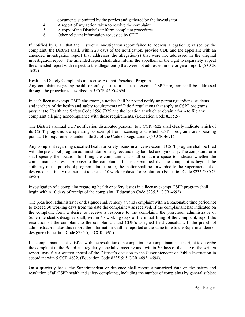documents submitted by the parties and gathered by the investigator

- 4. A report of any action taken to resolve the complaint
- 5. A copy of the District's uniform complaint procedures
- 6. Other relevant information requested by CDE

If notified by CDE that the District's investigation report failed to address allegation(s) raised by the complaint, the District shall, within 20 days of the notification, provide CDE and the appellant with an amended investigation report that addresses the allegation(s) that were not addressed in the original investigation report. The amended report shall also inform the appellant of the right to separately appeal the amended report with respect to the allegation(s) that were not addressed in the original report. (5 CCR 4632)

#### Health and Safety Complaints in License-Exempt Preschool Program

Any complaint regarding health or safety issues in a license-exempt CSPP program shall be addressed through the procedures described in 5 CCR 4690-4694.

In each license-exempt CSPP classroom, a notice shall be posted notifying parents/guardians, students, and teachers of the health and safety requirements of Title 5 regulations that apply to CSPP programs pursuant to Health and Safety Code 1596.7925 and the location at which to obtain a form to file any complaint alleging noncompliance with those requirements. (Education Code 8235.5)

The District's annual UCP notification distributed pursuant to 5 CCR 4622 shall clearly indicate which of its CSPP programs are operating as exempt from licensing and which CSPP programs are operating pursuant to requirements under Title 22 of the Code of Regulations. (5 CCR 4691)

Any complaint regarding specified health or safety issues in a license-exempt CSPP program shall be filed with the preschool program administrator or designee, and may be filed anonymously. The complaint form shall specify the location for filing the complaint and shall contain a space to indicate whether the complainant desires a response to the complaint. If it is determined that the complaint is beyond the authority of the preschool program administrator, the matter shall be forwarded to the Superintendent or designee in a timely manner, not to exceed 10 working days, for resolution. (Education Code 8235.5; CCR 4690)

Investigation of a complaint regarding health or safety issues in a license-exempt CSPP program shall begin within 10 days of receipt of the complaint. (Education Code 8235.5, CCR 4692)

The preschool administrator or designee shall remedy a valid complaint within a reasonable time period not to exceed 30 working days from the date the complaint was received. If the complainant has indicated on the complaint form a desire to receive a response to the complaint, the preschool administrator or Superintendent's designee shall, within 45 working days of the initial filing of the complaint, report the resolution of the complaint to the complainant and CDE's assigned field consultant. If the preschool administrator makes this report, the information shall be reported at the same time to the Superintendent or designee (Education Code 8235.5; 5 CCR 4692).

If a complainant is not satisfied with the resolution of a complaint, the complainant has the right to describe the complaint to the Board at a regularly scheduled meeting and, within 30 days of the date of the written report, may file a written appeal of the District's decision to the Superintendent of Public Instruction in accordant with 5 CCR 4632. (Education Code 8235.5; 5 CCR 4693, 4694).

On a quarterly basis, the Superintendent or designee shall report summarized data on the nature and resolution of all CSPP health and safety complaints, including the number of complaints by general subject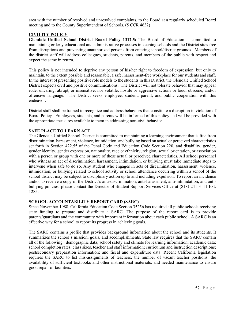area with the number of resolved and unresolved complaints, to the Board at a regularly scheduled Board meeting and to the County Superintendent of Schools. (5 CCR 4632)

#### **CIVILITY POLICY**

**Glendale Unified School District Board Policy 1312.5:** The Board of Education is committed to maintaining orderly educational and administrative processes in keeping schools and the District sites free from disruptions and preventing unauthorized persons from entering school/district grounds. Members of the district staff will address colleagues, students, parents, and members of the public with respect and expect the same in return.

This policy is not intended to deprive any person of his/her right to freedom of expression, but only to maintain, to the extent possible and reasonable, a safe, harassment-free workplace for our students and staff. In the interest of presenting positive role models to the students in this District, the Glendale Unified School District expects civil and positive communications. The District will not tolerate behavior that may appear rude, uncaring, abrupt, or insensitive, nor volatile, hostile or aggressive actions or loud, obscene, and/or offensive language. The District seeks employee, student, parent, and public cooperation with this endeavor.

District staff shall be trained to recognize and address behaviors that constitute a disruption in violation of Board Policy. Employees, students, and parents will be informed of this policy and will be provided with the appropriate measures available to them in addressing non-civil behavior.

#### **SAFE PLACE TO LEARN ACT**

The Glendale Unified School District is committed to maintaining a learning environment that is free from discrimination, harassment, violence, intimidation, and bullying based on actual or perceived characteristics set forth in Section 422.55 of the Penal Code and Education Code Section 220, and disability, gender, gender identity, gender expression, nationality, race or ethnicity, religion, sexual orientation, or association with a person or group with one or more of these actual or perceived characteristics. All school personnel who witness an act of discrimination, harassment, intimidation, or bullying must take immediate steps to intervene when safe to do so. Any student who engages in acts of discrimination, harassment, violence, intimidation, or bullying related to school activity or school attendance occurring within a school of the school district may be subject to disciplinary action up to and including expulsion. To report an incidence and/or to receive a copy of the District's anti-discrimination, anti-harassment, anti-intimidation, and antibullying policies, please contact the Director of Student Support Services Office at (818) 241-3111 Ext. 1285.

#### **SCHOOL ACCOUNTABILITY REPORT CARD (SARC)**

Since November 1988, California Education Code Section 35256 has required all public schools receiving state funding to prepare and distribute a SARC. The purpose of the report card is to provide parents/guardians and the community with important information about each public school. A SARC is an effective way for a school to report its progress in achieving goals.

The SARC contains a profile that provides background information about the school and its students. It summarizes the school's mission, goals, and accomplishments. State law requires that the SARC contain all of the following: demographic data; school safety and climate for learning information; academic data; school completion rates; class sizes, teacher and staff information; curriculum and instruction descriptions; postsecondary preparation information; and fiscal and expenditure data. Recent California legislation requires the SARC to list mis-assignments of teachers, the number of vacant teacher positions, the availability of sufficient textbooks and other instructional materials, and needed maintenance to ensure good repair of facilities.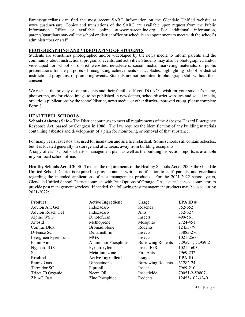Parents/guardians can find the most recent SARC information on the Glendale Unified website at www.gusd.net/sarc. Copies and translations of the SARC are available upon request from the Public Information Office or available online at www.sarconline.org. For additional information, parents/guardians may call the school or district office or schedule an appointment to meet with the school's administrators or staff.

#### **PHOTOGRAPHING AND VIDEOTAPING OF STUDENTS**

Students are sometimes photographed and/or videotaped by the news media to inform parents and the community about instructional programs, events, and activities. Students may also be photographed and/or videotaped for school or district websites, newsletters, social media, marketing materials, or public presentations for the purposes of recognizing achievements or accolades, highlighting school or district instructional programs, or promoting events. Students are not permitted to photograph staff without their consent.

We respect the privacy of our students and their families. If you DO NOT wish for your student's name. photograph, and/or video image to be published in newsletters, school/district websites and social media, or various publications by the school/district, news media, or other district-approved group, please complete Form 8.

#### **HEALTHFUL SCHOOLS**

**Schools Asbestos Safe –** The District continues to meet all requirements of the Asbestos Hazard Emergency Response Act, passed by Congress in 1986. The law requires the identification of any building materials containing asbestos and development of a plan for monitoring or removal of that substance.

For many years, asbestos was used for insulation and as a fire retardant. Some schools still contain asbestos, but it is located generally in storage and attic areas, away from building occupants.

A copy of each school's asbestos management plan, as well as the building inspection reports, is available in your local school office.

**Healthy Schools Act of 2000 -** To meet the requirements of the Healthy Schools Act of 2000, the Glendale Unified School District is required to provide annual written notification to staff, parents, and guardians regarding the intended applications of pest management products. For the 2021-2022 school years, Glendale Unified School District contracts with Pest Options of Orange, CA, a state-licensed contractor, to provide pest management services. If needed, the following pest management products may be used during 2021-2022:

| Product                 | <b>Active Ingredient</b> | <b>Usage</b>             | EPAID#           |
|-------------------------|--------------------------|--------------------------|------------------|
| Advion Ant Gel          | Indoxacarb               | Roaches                  | 352-652          |
| <b>Advion Roach Gel</b> | Indoxacarb               | Ants                     | 352-627          |
| Alpine WSG              | Dinotefuran              | Insects                  | 499-561          |
| Altosid                 | Methoprene               | Mosquito                 | 2724-451         |
| Contrac Blox            | Bromadiolone             | Rodents                  | 12455-79         |
| D-Fense SC              | Deltamethrin             | Insects                  | 53883-276        |
| Evergreen Pyrethrum     | <b>MGK</b>               | Insects                  | 1021-2560        |
| Fumitoxin               | Aluminum Phosphide       | <b>Burrowing Rodents</b> | 72959-1, 72959-2 |
| Nyguard IGR             | Pyriproxyfen             | Insect IGR               | 1021-1603        |
| <b>Siesta</b>           | Metaflumizone            | Fire Ants                | 7969-232         |
| Product                 | <b>Active Ingredient</b> | <b>Usage</b>             | EPAID#           |
| Ramik Oats              | Diphacinone              | <b>Burrowing Rodents</b> | 61282-24         |
| Termidor SC             | Fipronil                 | Insects                  | 7969-210         |
| Triact 70 Organic       | Neem Oil                 | Insecticide              | 70051-2-59807    |
| <b>ZP AG Oats</b>       | Zinc Phosphide           | Rodents                  | 12455-102-3240   |
|                         |                          |                          |                  |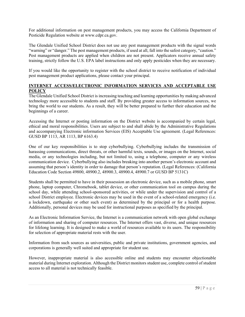For additional information on pest management products, you may access the California Department of Pesticide Regulation website at www.cdpr.ca.gov.

The Glendale Unified School District does not use any pest management products with the signal words "warning" or "danger." The pest management products, if used at all, fall into the safest category, "caution." Pest management products are applied when children are not present. Applicators receive annual safety training, strictly follow the U.S. EPA label instructions and only apply pesticides when they are necessary.

If you would like the opportunity to register with the school district to receive notification of individual pest management product applications, please contact your principal.

#### **INTERNET ACCESS/ELECTRONIC INFORMATION SERVICES AND ACCEPTABLE USE POLICY**

The Glendale Unified School District is increasing teaching and learning opportunities by making advanced technology more accessible to students and staff. By providing greater access to information sources, we bring the world to our students. As a result, they will be better prepared to further their education and the beginnings of a career.

Accessing the Internet or posting information on the District website is accompanied by certain legal, ethical and moral responsibilities. Users are subject to and shall abide by the Administrative Regulations and accompanying Electronic information Services (EIS) Acceptable Use agreement. (Legal References: GUSD BP 1113, AR 1113, BP 6163.4)

One of our key responsibilities is to stop cyberbullying. Cyberbullying includes the transmission of harassing communications, direct threats, or other harmful texts, sounds, or images on the Internet, social media, or any technologies including, but not limited to, using a telephone, computer or any wireless communication device. Cyberbullying also includes breaking into another person's electronic account and assuming that person's identity in order to damage that person's reputation. (Legal References: (California Education Code Section 49800, 48900.2, 48900.3, 48900.4, 48900.7 or GUSD BP 5131C)

Students shall be permitted to have in their possession an electronic device, such as a mobile phone, smart phone, laptop computer, Chromebook, tablet device, or other communication tool on campus during the school day, while attending school-sponsored activities, or while under the supervision and control of a school District employee. Electronic devices may be used in the event of a school-related emergency (i.e. a lockdown, earthquake or other such event) as determined by the principal or for a health purpose. Additionally, personal devices may be used for instructional purposes as specified by the principal.

As an Electronic Information Service, the Internet is a communication network with open global exchange of information and sharing of computer resources. The Internet offers vast, diverse, and unique resources for lifelong learning. It is designed to make a world of resources available to its users. The responsibility for selection of appropriate material rests with the user.

Information from such sources as universities, public and private institutions, government agencies, and corporations is generally well suited and appropriate for student use.

However, inappropriate material is also accessible online and students may encounter objectionable material during Internet exploration. Although the District monitors student use, complete control of student access to all material is not technically feasible.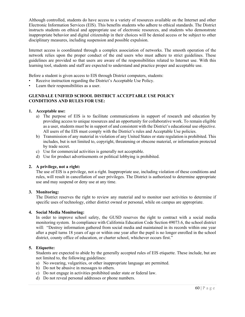Although controlled, students do have access to a variety of resources available on the Internet and other Electronic Information Services (EIS). This benefits students who adhere to ethical standards. The District instructs students on ethical and appropriate use of electronic resources, and students who demonstrate inappropriate behavior and digital citizenship in their choices will be denied access or be subject to other disciplinary measures, including suspension and possible expulsion.

Internet access is coordinated through a complex association of networks. The smooth operation of the network relies upon the proper conduct of the end users who must adhere to strict guidelines. These guidelines are provided so that users are aware of the responsibilities related to Internet use. With this learning tool, students and staff are expected to understand and practice proper and acceptable use.

Before a student is given access to EIS through District computers, students:

- Receive instruction regarding the District's Acceptable Use Policy.
- Learn their responsibilities as a user.

#### **GLENDALE UNIFIED SCHOOL DISTRICT ACCEPTABLE USE POLICY CONDITIONS AND RULES FOR USE:**

#### **1. Acceptable use:**

- a) The purpose of EIS is to facilitate communications in support of research and education by providing access to unique resources and an opportunity for collaborative work. To remain eligible as a user, students must be in support of and consistent with the District's educational use objective. All users of the EIS must comply with the District's rules and Acceptable Use policies.
- b) Transmission of any material in violation of any United States or state regulation is prohibited. This includes, but is not limited to, copyright, threatening or obscene material, or information protected by trade secret.
- c) Use for commercial activities is generally not acceptable.
- d) Use for product advertisements or political lobbying is prohibited.

#### **2. A privilege, not a right:**

The use of EIS is a privilege, not a right. Inappropriate use, including violation of these conditions and rules, will result in cancellation of user privileges. The District is authorized to determine appropriate use and may suspend or deny use at any time.

#### **3. Monitoring:**

The District reserves the right to review any material and to monitor user activities to determine if specific uses of technology, either district owned or personal, while on campus are appropriate.

#### **4. Social Media Monitoring:**

In order to improve school safety, the GUSD reserves the right to contract with a social media monitoring system. In compliance with California Education Code Section 49073.6, the school district will: "Destroy information gathered from social media and maintained in its records within one year after a pupil turns 18 years of age or within one year after the pupil is no longer enrolled in the school district, county office of education, or charter school, whichever occurs first."

#### **5. Etiquette:**

Students are expected to abide by the generally accepted rules of EIS etiquette. These include, but are not limited to, the following guidelines:

- a) No swearing, vulgarities, or other inappropriate language are permitted.
- b) Do not be abusive in messages to others.
- c) Do not engage in activities prohibited under state or federal law.
- d) Do not reveal personal addresses or phone numbers.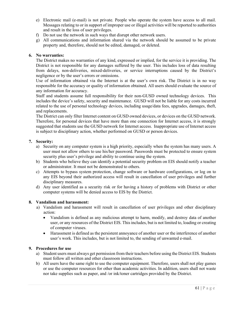- e) Electronic mail (e-mail) is not private. People who operate the system have access to all mail. Messages relating to or in support of improper use or illegal activities will be reported to authorities and result in the loss of user privileges.
- f) Do not use the network in such ways that disrupt other network users.
- g) All communications and information shared via the network should be assumed to be private property and, therefore, should not be edited, damaged, or deleted.

#### **6. No warranties:**

The District makes no warranties of any kind, expressed or implied, for the service it is providing. The District is not responsible for any damages suffered by the user. This includes loss of data resulting from delays, non-deliveries, mixed-deliveries, or service interruptions caused by the District's negligence or by the user's errors or omissions.

Use of information obtained via the Internet is at the user's own risk. The District is in no way responsible for the accuracy or quality of information obtained. All users should evaluate the source of any information for accuracy.

Staff and students assume full responsibility for their non-GUSD owned technology devices. This includes the device's safety, security and maintenance. GUSD will not be liable for any costs incurred related to the use of personal technology devices, including usage/data fees, upgrades, damages, theft, and replacements.

The District can only filter Internet content on GUSD owned devices, or devices on the GUSD network. Therefore, for personal devices that have more than one connection for Internet access, it is strongly suggested that students use the GUSD network for Internet access. Inappropriate use of Internet access is subject to disciplinary action, whether performed on GUSD or person devices.

#### **7. Security:**

- a) Security on any computer system is a high priority, especially when the system has many users. A user must not allow others to use his/her password. Passwords must be protected to ensure system security plus user's privilege and ability to continue using the system.
- b) Students who believe they can identify a potential security problem on EIS should notify a teacher or administrator. It must not be demonstrated to others.
- c) Attempts to bypass system protection, change software or hardware configurations, or log on to any EIS beyond their authorized access will result in cancellation of user privileges and further disciplinary measures.
- d) Any user identified as a security risk or for having a history of problems with District or other computer systems will be denied access to EIS by the District.

#### **8. Vandalism and harassment:**

- a) Vandalism and harassment will result in cancellation of user privileges and other disciplinary action:
	- Vandalism is defined as any malicious attempt to harm, modify, and destroy data of another user, or any resources of the District EIS. This includes, but is not limited to, loading or creating of computer viruses.
	- Harassment is defined as the persistent annoyance of another user or the interference of another user's work. This includes, but is not limited to, the sending of unwanted e-mail.

#### **9. Procedures for use**

- a) Student users must always get permission from their teachers before using the District EIS. Students must follow all written and other classroom instructions.
- b) All users have the same right to use the computer equipment. Therefore, users shall not play games or use the computer resources for other than academic activities. In addition, users shall not waste nor take supplies such as paper, and /or ink/toner cartridges provided by the District.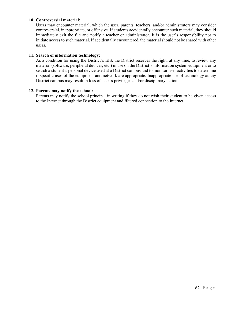#### **10. Controversial material:**

Users may encounter material, which the user, parents, teachers, and/or administrators may consider controversial, inappropriate, or offensive. If students accidentally encounter such material, they should immediately exit the file and notify a teacher or administrator. It is the user's responsibility not to initiate access to such material. If accidentally encountered, the material should not be shared with other users.

#### **11. Search of information technology:**

As a condition for using the District's EIS, the District reserves the right, at any time, to review any material (software, peripheral devices, etc.) in use on the District's information system equipment or to search a student's personal device used at a District campus and to monitor user activities to determine if specific uses of the equipment and network are appropriate. Inappropriate use of technology at any District campus may result in loss of access privileges and/or disciplinary action.

#### **12. Parents may notify the school:**

 Parents may notify the school principal in writing if they do not wish their student to be given access to the Internet through the District equipment and filtered connection to the Internet.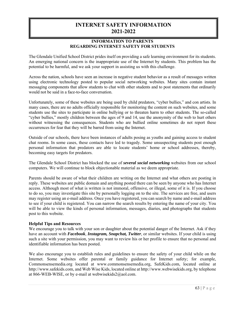# **INTERNET SAFETY INFORMATION 2021-2022**

#### **INFORMATION TO PARENTS REGARDING INTERNET SAFETY FOR STUDENTS**

The Glendale Unified School District prides itself on providing a safe learning environment for its students. An emerging national concern is the inappropriate use of the Internet by students. This problem has the potential to be harmful, and we ask your support in assisting us with this challenge.

Across the nation, schools have seen an increase in negative student behavior as a result of messages written using electronic technology posted to popular social networking websites. Many sites contain instant messaging components that allow students to chat with other students and to post statements that ordinarily would not be said in a face-to-face conversation.

Unfortunately, some of these websites are being used by child predators, "cyber bullies," and con artists. In many cases, there are no adults officially responsible for monitoring the content on such websites, and some students use the sites to participate in online bullying or to threaten harm to other students. The so-called "cyber bullies," mostly children between the ages of 9 and 14, use the anonymity of the web to hurt others without witnessing the consequences. Students who are bullied online sometimes do not report these occurrences for fear that they will be barred from using the Internet.

Outside of our schools, there have been instances of adults posing as youths and gaining access to student chat rooms. In some cases, these contacts have led to tragedy. Some unsuspecting students post enough personal information that predators are able to locate students' home or school addresses, thereby, becoming easy targets for predators.

The Glendale School District has blocked the use of *several social networking* websites from our school computers. We will continue to block objectionable material as we deem appropriate.

Parents should be aware of what their children are writing on the Internet and what others are posting in reply. These websites are public domain and anything posted there can be seen by anyone who has Internet access. Although most of what is written is not immoral, offensive, or illegal, some of it is. If you choose to do so, you may investigate this site by personally logging on to the site. The services are free, and users may register using an e-mail address. Once you have registered, you can search by name and e-mail address to see if your child is registered. You can narrow the search results by entering the name of your city. You will be able to view the kinds of personal information, messages, diaries, and photographs that students post to this website.

#### **Helpful Tips and Resources**

We encourage you to talk with your son or daughter about the potential danger of the Internet. Ask if they have an account with *Facebook*, *Instagram, Snapchat, Twitter*, or similar websites. If your child is using such a site with your permission, you may want to review his or her profile to ensure that no personal and identifiable information has been posted.

We also encourage you to establish rules and guidelines to ensure the safety of your child while on the Internet. Some websites offer parental or family guidance for Internet safety; for example, Commonsensemedia.org located at www.commonsensemedia.org, SafeKids.com, located online at http://www.safekids.com, and Web Wise Kids, located online at http://www.webwisekids.org, by telephone at 866-WEB-WISE, or by e-mail at webwisekids2@aol.com.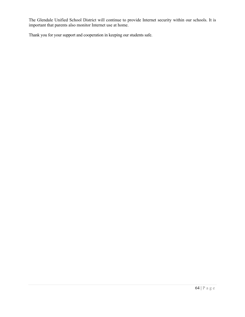The Glendale Unified School District will continue to provide Internet security within our schools. It is important that parents also monitor Internet use at home.

Thank you for your support and cooperation in keeping our students safe.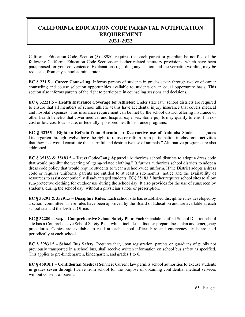# **CALIFORNIA EDUCATION CODE PARENTAL NOTIFICATION REQUIREMENT 2021-2022**

California Education Code, Section (§) 48980, requires that each parent or guardian be notified of the following California Education Code Sections and other related statutory provisions, which have been paraphrased for your convenience. Explanations regarding any section and the verbatim wording may be requested from any school administrator.

**EC § 221.5 – Career Counseling**: Informs parents of students in grades seven through twelve of career counseling and course selection opportunities available to students on an equal opportunity basis. This section also informs parents of the right to participate in counseling sessions and decisions.

**EC § 32221.5 – Health Insurance Coverage for Athletes:** Under state law, school districts are required to ensure that all members of school athletic teams have accidental injury insurance that covers medical and hospital expenses. This insurance requirement can be met by the school district offering insurance or other health benefits that cover medical and hospital expenses. Some pupils may qualify to enroll in nocost or low-cost local, state, or federally sponsored health insurance programs.

**EC § 32255 – Right to Refrain from Harmful or Destructive use of Animals:** Students in grades kindergarten through twelve have the right to refuse or refrain from participation in classroom activities that they feel would constitute the "harmful and destructive use of animals." Alternative programs are also addressed.

**EC § 35183 & 35183.5 – Dress Code/Gang Apparel:** Authorizes school districts to adopt a dress code that would prohibit the wearing of "gang-related clothing." It further authorizes school districts to adopt a dress code policy that would require students to wear a school-wide uniform. If the District adopts a dress code or requires uniforms, parents are entitled to at least a six-months' notice and the availability of resources to assist economically disadvantaged students. EC§ 35183.5 further requires school sites to allow sun-protective clothing for outdoor use during the school day. It also provides for the use of sunscreen by students, during the school day, without a physician's note or prescription.

**EC § 35291 & 35291.5 – Discipline Rules**: Each school site has established discipline rules developed by a school committee. These rules have been approved by the Board of Education and are available at each school site and the District Office.

**EC § 32280 et seq.** – **Comprehensive School Safety Plan**: Each Glendale Unified School District school site has a Comprehensive School Safety Plan, which includes a disaster preparedness plan and emergency procedures. Copies are available to read at each school office. Fire and emergency drills are held periodically at each school.

**EC § 39831.5 – School Bus Safety**: Requires that, upon registration, parents or guardians of pupils not previously transported in a school bus, shall receive written information on school bus safety as specified. This applies to pre-kindergarten, kindergarten, and grades 1 to 6.

**EC § 46010.1 – Confidential Medical Service:** Current law permits school authorities to excuse students in grades seven through twelve from school for the purpose of obtaining confidential medical services without consent of parent.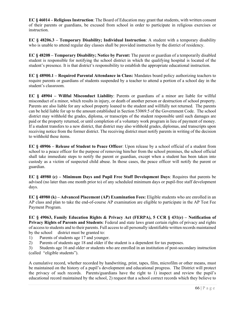**EC § 46014 – Religious Instruction**: The Board of Education may grant that students, with written consent of their parents or guardians, be excused from school in order to participate in religious exercises or instruction.

**EC § 48206.3 – Temporary Disability; Individual Instruction**: A student with a temporary disability who is unable to attend regular day classes shall be provided instruction by the district of residency.

**EC § 48208 – Temporary Disability; Notice by Parent:** The parent or guardian of a temporarily disabled student is responsible for notifying the school district in which the qualifying hospital is located of the student's presence. It is that district's responsibility to establish the appropriate educational instruction.

**EC § 48900.1 – Required Parental Attendance in Class:** Mandates board policy authorizing teachers to require parents or guardians of students suspended by a teacher to attend a portion of a school day in the student's classroom.

**EC § 48904 – Willful Misconduct Liability**: Parents or guardians of a minor are liable for willful misconduct of a minor, which results in injury, or death of another person or destruction of school property. Parents are also liable for any school property loaned to the student and willfully not returned. The parents can be held liable for up to the amount established in Section 53069.5 of the Government Code. The school district may withhold the grades, diploma, or transcripts of the student responsible until such damages are paid or the property returned, or until completion of a voluntary work program in lieu of payment of money. If a student transfers to a new district, that district may also withhold grades, diplomas, and transcripts upon receiving notice from the former district. The receiving district must notify parents in writing of the decision to withhold these items.

**EC § 48906 – Release of Student to Peace Officer**: Upon release by a school official of a student from school to a peace officer for the purpose of removing him/her from the school premises, the school official shall take immediate steps to notify the parent or guardian, except when a student has been taken into custody as a victim of suspected child abuse. In those cases, the peace officer will notify the parent or guardian.

**EC § 48980 (c) – Minimum Days and Pupil Free Staff Development Days**: Requires that parents be advised (no later than one month prior to) of any scheduled minimum days or pupil-free staff development days.

**EC § 48980 (k) – Advanced Placement (AP) Examination Fees:** Eligible students who are enrolled in an AP class and plan to take the end-of-course AP examination are eligible to participate in the AP Test Fee Payment Program.

**EC § 49063, Family Education Rights & Privacy Act (FERPA), 5 CCR § 431(e) – Notification of Privacy Rights of Parents and Students**: Federal and state laws grant certain rights of privacy and rights of access to students and to their parents. Full access to all personally identifiable written records maintained by the school district must be granted to:

- 1) Parents of students age 17 and younger.
- 2) Parents of students age 18 and older if the student is a dependent for tax purposes.
- 3) Students age 16 and older or students who are enrolled in an institution of post-secondary instruction (called "eligible students").

A cumulative record, whether recorded by handwriting, print, tapes, film, microfilm or other means, must be maintained on the history of a pupil's development and educational progress. The District will protect the privacy of such records. Parents/guardians have the right to 1) inspect and review the pupil's educational record maintained by the school, 2) request that a school correct records which they believe to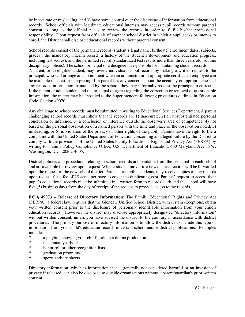be inaccurate or misleading, and 3) have some control over the disclosure of information from educational records. School officials with legitimate educational interests may access pupil records without parental consent as long as the official needs to review the records in order to fulfill his/her professional responsibility. Upon request from officials of another school district in which a pupil seeks or intends to enroll, the District shall disclose educational records without parental consent.

School records consist of the permanent record (student's legal name, birthdate, enrollment dates, subjects, grades); the mandatory interim record (a history of the student's development and education progress, including test scores); and the permitted record (standardized test results more than three years old, routine disciplinary notices). The school principal or a designee is responsible for maintaining student records. A parent, or an eligible student, may review individual school records by making a written request to the principal, who will arrange an appointment when an administrator or appropriate certificated employee can be available to assist in interpreting. If a parent has any concerns about the accuracy or appropriateness of any recorded information maintained by the school, they may informally request the principal to correct it. If the parent or adult student and the principal disagree regarding the correction or removal of questionable information, the matter may be appealed to the Superintendent following procedures outlined in Education Code, Section 49070.

Any challenge to school records must be submitted in writing to Educational Services Department. A parent challenging school records must show that the records are 1) inaccurate, 2) an unsubstantiated personal conclusion or inference, 3) a conclusion or inference outside the observer's area of competence, 4) not based on the personal observation of a named person with the time and place of the observation noted, 5) misleading, or 6) in violation of the privacy or other rights of the pupil. Parents have the right to file a complaint with the United States Department of Education concerning an alleged failure by the District to comply with the provisions of the United States Family Educational Rights and Privacy Act (FERPA) by writing to: Family Policy Compliance Office, U.S. Department of Education, 400 Maryland Ave., SW, Washington, D.C. 20202-4605.

District policies and procedures relating to school records are available from the principal in each school and are available for review upon request. When a student moves to a new district, records will be forwarded upon the request of the new school district. Parents, or eligible students, may receive copies of any records upon request for a fee of 25 cents per page to cover the duplicating cost. Parents' request to access their pupil's educational records must be submitted in a written form to records clerk and the school will have five (5) business days from the day of receipt of the request to provide access to the records.

**EC § 49073 – Release of Directory Information**: The Family Educational Rights and Privacy Act (FERPA), a federal law, requires that the Glendale Unified School District, with certain exceptions, obtain your written consent prior to the disclosure of personally identifiable information from your child's education records. However, the district may disclose appropriately designated "directory information" without written consent, unless you have advised the district to the contrary in accordance with district procedures. The primary purpose of directory information is to allow the district to include this type of information from your child's education records in certain school and/or district publications. Examples include:

- \* a playbill, showing your child's role in a drama production
- the annual yearbook
- \* honor roll or other recognition lists
- \* graduation programs
- \* sports activity sheets

Directory information, which is information that is generally not considered harmful or an invasion of privacy if released, can also be disclosed to outside organizations without a parent/guardian's prior written consent.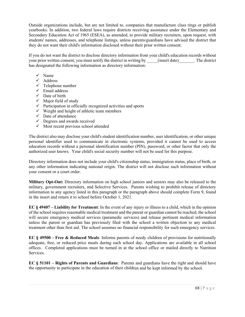Outside organizations include, but are not limited to, companies that manufacture class rings or publish yearbooks. In addition, two federal laws require districts receiving assistance under the Elementary and Secondary Education Act of 1965 (ESEA), as amended, to provide military recruiters, upon request, with students' names, addresses, and telephone listings, unless parents/guardians have advised the district that they do not want their child's information disclosed without their prior written consent.

If you do not want the district to disclose directory information from your child's education records without your prior written consent, you must notify the district in writing by (insert date). The district has designated the following information as directory information:

- $\checkmark$  Name
- Address
- $\checkmark$  Telephone number
- $\checkmark$  Email address
- $\checkmark$  Date of birth
- $\checkmark$  Major field of study
- $\checkmark$  Participation in officially recognized activities and sports
- $\checkmark$  Weight and height of athletic team members
- $\checkmark$  Date of attendance
- $\checkmark$  Degrees and awards received
- $\checkmark$  Most recent previous school attended

The district also may disclose your child's student identification number, user identification, or other unique personal identifier used to communicate in electronic systems, provided it cannot be used to access education records without a personal identification number (PIN), password, or other factor that only the authorized user knows. Your child's social security number will not be used for this purpose.

Directory information does not include your child's citizenship status, immigration status, place of birth, or any other information indicating national origin. The district will not disclose such information without your consent or a court order.

**Military Opt-Out:** Directory information on high school juniors and seniors may also be released to the military, government recruiters, and Selective Services. Parents wishing to prohibit release of directory information to any agency listed in this paragraph or the paragraph above should complete Form 9, found in the insert and return it to school before October 1, 2021.

**EC § 49407 – Liability for Treatment**: In the event of any injury or illness to a child, which in the opinion of the school requires reasonable medical treatment and the parent or guardian cannot be reached, the school will secure emergency medical services (paramedic services) and release pertinent medical information unless the parent or guardian has previously filed with the school a written objection to any medical treatment other than first aid. The school assumes no financial responsibility for such emergency services.

**EC § 49500 – Free & Reduced Meals**: Informs parents of needy children of provisions for nutritionally adequate, free, or reduced price meals during each school day. Applications are available in all school offices. Completed applications must be turned in at the school office or mailed directly to Nutrition Services.

**EC § 51101 – Rights of Parents and Guardians**: Parents and guardians have the right and should have the opportunity to participate in the education of their children and be kept informed by the school.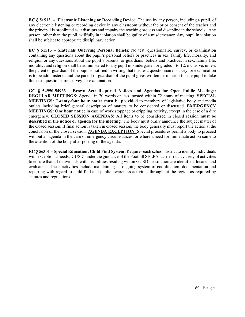**EC § 51512 – Electronic Listening or Recording Device**: The use by any person, including a pupil, of any electronic listening or recording device in any classroom without the prior consent of the teacher and the principal is prohibited as it disrupts and impairs the teaching process and discipline in the schools. Any person, other than the pupil, willfully in violation shall be guilty of a misdemeanor. Any pupil in violation shall be subject to appropriate disciplinary action.

**EC § 51513 – Materials Querying Personal Beliefs**: No test, questionnaire, survey, or examination containing any questions about the pupil's personal beliefs or practices in sex, family life, morality, and religion or any questions about the pupil's parents' or guardians' beliefs and practices in sex, family life, morality, and religion shall be administered to any pupil in kindergarten or grades 1 to 12, inclusive, unless the parent or guardian of the pupil is notified in writing that this test, questionnaire, survey, or examination is to be administered and the parent or guardian of the pupil gives written permission for the pupil to take this test, questionnaire, survey, or examination.

**GC § 54950-54963 – Brown Act: Required Notices and Agendas for Open Public Meetings: REGULAR MEETINGS**: Agenda in 20 words or less, posted within 72 hours of meeting. **SPECIAL MEETINGS: Twenty-four hour notice must be provided** to members of legislative body and media outlets including brief general description of matters to be considered or discussed. **EMERGENCY MEETINGS: One hour notice** in case of work stoppage or crippling activity, except in the case of a dire emergency. **CLOSED SESSION AGENDAS:** All items to be considered in closed session **must be described in the notice or agenda for the meeting**. The body must orally announce the subject matter of the closed session. If final action is taken in closed session, the body generally must report the action at the conclusion of the closed session. **AGENDA EXCEPTION:** Special procedures permit a body to proceed without an agenda in the case of emergency circumstances, or where a need for immediate action came to the attention of the body after posting of the agenda.

**EC § 56301 – Special Education; Child Find System:** Requires each school district to identify individuals with exceptional needs. GUSD, under the guidance of the Foothill SELPA, carries out a variety of activities to ensure that all individuals with disabilities residing within GUSD jurisdiction are identified, located and evaluated. These activities include maintaining an ongoing system of coordination, documentation and reporting with regard to child find and public awareness activities throughout the region as required by statutes and regulations.